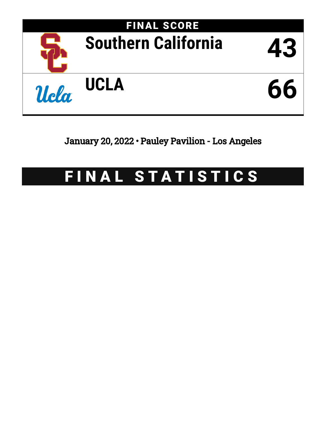

January 20, 2022 • Pauley Pavilion - Los Angeles

# FINAL STATISTICS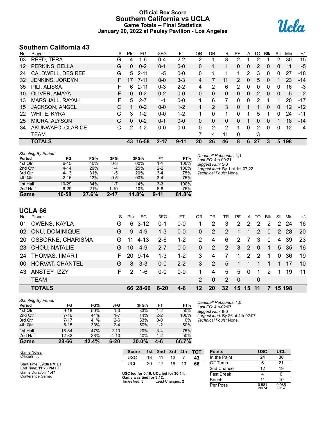### **Official Box Score Southern California vs UCLA Game Totals -- Final Statistics January 20, 2022 at Pauley Pavilion - Los Angeles**



# **Southern California 43**

| No. | Plaver                | S  | Pts           | FG       | 3FG      | FT       | <b>OR</b> | <b>DR</b> | TR           | РF          | A            | TO | <b>BIK</b> | Stl          | Min | $+/-$ |
|-----|-----------------------|----|---------------|----------|----------|----------|-----------|-----------|--------------|-------------|--------------|----|------------|--------------|-----|-------|
| 03  | REED, TERA            | G  | 4             | $1 - 6$  | $0 - 4$  | $2 - 2$  | 2         |           | 3            | 2           |              | 2  |            | 2            | 30  | $-15$ |
| 12  | PERKINS, BELLA        | G  | $\mathbf{0}$  | $0 - 2$  | $0 - 1$  | $0 - 0$  | 0         | 1         |              | $\Omega$    | 0            | 2  | $\Omega$   | $\mathbf{0}$ | 11  | $-5$  |
| 24  | CALDWELL, DESIREE     | G  | 5             | $2 - 11$ | $1 - 5$  | $0 - 0$  | 0         | 1         |              | 1           | 2            | 3  | 0          | 0            | 27  | -18   |
| 32  | JENKINS, JORDYN       | F. | 17            | 7-11     | $0 - 0$  | $3 - 3$  | 4         | 7         | 11           | 2           | 0            | 5  | $\Omega$   |              | 23  | $-14$ |
| 35  | PILI, ALISSA          | F  | 6             | $2 - 11$ | $0 - 3$  | $2 - 2$  | 4         | 2         | 6            | 2           | $\mathbf{0}$ | 0  | $\Omega$   | 0            | 16  | $-3$  |
| 10  | OLIVER, AMAYA         | F. | $\Omega$      | $0 - 2$  | $0 - 2$  | $0 - 0$  | 0         | 0         | $\mathbf{0}$ | 0           | 0            | 2  | $\Omega$   | 0            | 5   | $-2$  |
| 13  | MARSHALL, RAYAH       | F. | 5             | $2 - 7$  | $1 - 1$  | $0 - 0$  | 1         | 6         | 7            | 0           | 0            | 2  |            |              | 20  | -17   |
| 15  | <b>JACKSON, ANGEL</b> | C  | 1             | $0 - 2$  | $0 - 0$  | $1 - 2$  |           | 2         | 3            | $\Omega$    |              | 1  | $\Omega$   | $\Omega$     | 12  | $-12$ |
| 22  | WHITE, KYRA           | G  | 3             | $1 - 2$  | $0 - 0$  | $1 - 2$  |           | $\Omega$  | 1            | 0           |              | 5  |            | 0            | 24  | $-11$ |
| 25  | MIURA, ALYSON         | G  | $\mathbf{0}$  | $0 - 2$  | $0 - 1$  | $0 - 0$  | 0         | $\Omega$  | 0            | 0           |              | 0  | $\Omega$   | 1            | 18  | -14   |
| 34  | AKUNWAFO, CLARICE     | С  | $\mathcal{P}$ | $1 - 2$  | $0 - 0$  | $0 - 0$  | 0         | 2         | 2            | 1           | 0            | 2  | $\Omega$   | 0            | 12  | $-4$  |
|     | <b>TEAM</b>           |    |               |          |          |          |           | 4         | 11           | $\mathbf 0$ |              | 3  |            |              |     |       |
|     | <b>TOTALS</b>         |    | 43            | 16-58    | $2 - 17$ | $9 - 11$ | 20        | 26        | 46           | 8           | 6            | 27 | 3          | 5            | 198 |       |

| <b>Shooting By Period</b> |           |          |          |       |          |       | Deadball Rebounds: 4,1          |
|---------------------------|-----------|----------|----------|-------|----------|-------|---------------------------------|
| Period                    | FG        | FG%      | 3FG      | 3FG%  | FТ       | FT%   | Last FG: 4th-00:21              |
| 1st Qtr                   | $6 - 15$  | 40%      | 0-3      | 00%   | 1-1      | 100%  | Biggest Run: 5-0                |
| 2nd Qtr                   | $4 - 14$  | 29%      | $1 - 4$  | 25%   | $2 - 2$  | 100%  | Largest lead: By 1 at 1st-07:22 |
| 3rd Qtr                   | $4 - 13$  | 31%      | $1-5$    | 20%   | $3 - 4$  | 75%   | Technical Fouls: None.          |
| 4th Qtr                   | $2 - 16$  | 13%      | $0 - 5$  | 00%   | $3 - 4$  | 75%   |                                 |
| 1st Half                  | $10 - 29$ | 34%      | $1 - 7$  | 14%   | $3 - 3$  | 100%  |                                 |
| 2nd Half                  | $6 - 29$  | 21%      | $1 - 10$ | 10%   | 6-8      | 75%   |                                 |
| Game                      | 16-58     | $27.6\%$ | $2 - 17$ | 11.8% | $9 - 11$ | 81.8% |                                 |

### **UCLA 66**

|    | No. Player             | S. | Pts           | FG       | 3FG     | FТ      | 0R             | <b>DR</b> | TR              | PF.         |              | A TO          | Blk           | Stl           | Min    | $+/-$ |
|----|------------------------|----|---------------|----------|---------|---------|----------------|-----------|-----------------|-------------|--------------|---------------|---------------|---------------|--------|-------|
| 01 | OWENS, KAYLA           | G  |               | $63-12$  | $0 - 1$ | $0 - 0$ |                | 2         | 3               | 2           | 2            | 2             | 2             | $\mathcal{P}$ | 24     | 16    |
| 02 | <b>ONU, DOMINIQUE</b>  | G  | 9             | $4-9$    | $1 - 3$ | $0 - 0$ | $\mathbf{0}$   | 2         | 2               | 1           |              | $\mathcal{P}$ | $\Omega$      | 2             | -28    | 20    |
|    | 20 OSBORNE, CHARISMA   | G. | 11            | 4-13     | $2 - 6$ | $1 - 2$ | $\overline{2}$ | 4         | 6               | 2           |              | 3             | $\Omega$      | 4             | 39     | 23    |
|    | 23 CHOU, NATALIE       | G. | 10            | $4 - 9$  | $2 - 7$ | $0 - 0$ | $\mathbf{0}$   | 2         | 2               | 3           | 2            | $\Omega$      | $\mathbf 1$   |               | 5 35   | 16    |
| 24 | <b>THOMAS, IIMAR'I</b> | F. | <b>20</b>     | $9 - 14$ | $1 - 3$ | $1 - 2$ | 3              | 4         | 7               | $\mathbf 1$ | $\mathbf{2}$ | $\mathcal{P}$ | 1             | $\Omega$      | 36     | 19    |
| 00 | HORVAT, CHANTEL        | G  | 8             | $3 - 3$  | $0 - 0$ | $2 - 2$ | 3              | 2         | 5               | 1           |              |               |               |               | 17     | 10    |
| 43 | ANSTEY, IZZY           | F. | $\mathcal{P}$ | 1-6      | $0 - 0$ | $0 - 0$ | 1              | 4         | 5               | 5           | $\Omega$     | 1             | $\mathcal{P}$ | 1             | 19     | 11    |
|    | <b>TEAM</b>            |    |               |          |         |         | $\mathcal{P}$  | $\Omega$  | 2               | - 0         |              | 0             |               |               |        |       |
|    | <b>TOTALS</b>          |    |               | 66 28-66 | $6-20$  | $4 - 6$ | 12             | 20        | $32\phantom{a}$ | 15          | 15           |               |               |               | 15 198 |       |

| <b>Shooting By Period</b> |           |       |          |       |         |       |
|---------------------------|-----------|-------|----------|-------|---------|-------|
| Period                    | FG        | FG%   | 3FG      | 3FG%  | FT      | FT%   |
| 1st Qtr                   | $9 - 18$  | 50%   | $1 - 3$  | 33%   | $1 - 2$ | 50%   |
| 2nd Qtr                   | $7 - 16$  | 44%   | $1 - 7$  | 14%   | $2 - 2$ | 100%  |
| 3rd Qtr                   | $7 - 17$  | 41%   | $2-6$    | 33%   | $0 - 0$ | 0%    |
| 4th Qtr                   | $5 - 15$  | 33%   | $2 - 4$  | 50%   | $1 - 2$ | 50%   |
| 1st Half                  | 16-34     | 47%   | $2 - 10$ | 20%   | $3 - 4$ | 75%   |
| 2nd Half                  | $12 - 32$ | 38%   | $4 - 10$ | 40%   | $1 - 2$ | 50%   |
| Game                      | 28-66     | 42.4% | $6 - 20$ | 30.0% | 4-6     | 66.7% |

*Deadball Rebounds:* 1,0 *Last FG:* 4th-02:07 *Biggest Run:* 8-0 *Largest lead:* By 26 at 4th-02:07 *Technical Fouls:* None.

# Game Notes: Officials: **, ,**

Start Time: **09:36 PM ET** End Time: **11:23 PM ET** Game Duration: **1:47** Conference Game;

| <b>Score</b>                                                                     |     | 1st 2nd 3rd 4th |       | - тот |
|----------------------------------------------------------------------------------|-----|-----------------|-------|-------|
| USC                                                                              | 1.3 | 11              | 12    | 43    |
| UCL                                                                              | 20  | 17              | 16 13 | 66    |
| USC led for 0:16. UCL led for 36:14.<br>Game was tied for 3:12.<br>Times tied: 5 |     | Lead Changes: 2 |       |       |

| <b>Points</b>     | USC            | UCL            |
|-------------------|----------------|----------------|
| In the Paint      | 24             | 30             |
| Off Turns         | 6              | 21             |
| 2nd Chance        | 12             | 19             |
| <b>Fast Break</b> |                | 6              |
| Bench             | 11             | 10             |
| Per Poss          | 0.581<br>20/74 | 0.985<br>30/67 |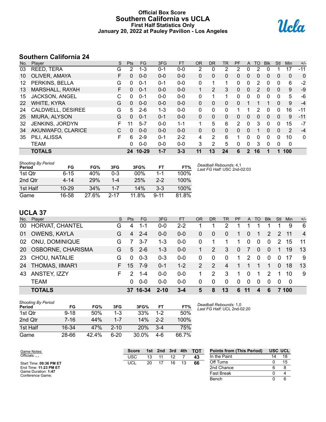#### **Official Box Score Southern California vs UCLA First Half Statistics Only January 20, 2022 at Pauley Pavilion - Los Angeles**



# **Southern California 24**

| No. | Player                | S  | Pts      | FG       | 3FG     | <b>FT</b> | <b>OR</b>    | <b>DR</b>      | <b>TR</b>      | PF           | A            | TO       | <b>Blk</b> | Stl         | <b>Min</b>  | $+/-$        |
|-----|-----------------------|----|----------|----------|---------|-----------|--------------|----------------|----------------|--------------|--------------|----------|------------|-------------|-------------|--------------|
| 03  | REED, TERA            | G  | 2        | $1 - 3$  | $0 - 1$ | $0-0$     | 2            | 0              | $\overline{2}$ | 2            | 0            | 2        | 0          |             | 17          | $-11$        |
| 10  | OLIVER, AMAYA         | F  | $\Omega$ | $0 - 0$  | $0 - 0$ | $0 - 0$   | 0            | 0              | $\Omega$       | $\mathbf{0}$ | 0            | 0        | 0          | 0           | 0           | $\Omega$     |
| 12  | PERKINS, BELLA        | G  | $\Omega$ | $0 - 1$  | 0-1     | $0-0$     | 0            | 1              | 1              | 0            | 0            | 2        | $\Omega$   | 0           | 6           | $-2$         |
| 13  | MARSHALL, RAYAH       | F. | $\Omega$ | $0 - 1$  | $0 - 0$ | $0 - 0$   | $\mathbf{1}$ | $\overline{2}$ | 3              | $\Omega$     | 0            | 2        | 0          | 0           | 9           | $-9$         |
| 15  | <b>JACKSON, ANGEL</b> | С  | $\Omega$ | $0 - 1$  | $0 - 0$ | $0 - 0$   | 0            | 1              | 1              | 0            | $\mathbf{0}$ | 0        | $\Omega$   | $\mathbf 0$ | 5           | -6           |
| 22  | WHITE, KYRA           | G  | $\Omega$ | $0 - 0$  | $0 - 0$ | $0 - 0$   | $\Omega$     | $\Omega$       | 0              | 0            |              |          |            | 0           | 9           | $-4$         |
| 24  | CALDWELL, DESIREE     | G  | 5        | $2-6$    | $1 - 3$ | $0-0$     | $\Omega$     | 0              | 0              |              |              | 2        | 0          | 0           | 16          | $-11$        |
| 25  | MIURA, ALYSON         | G  | $\Omega$ | $0 - 1$  | $0 - 1$ | $0 - 0$   | 0            | 0              | $\mathbf{0}$   | 0            | 0            | 0        | 0          | $\Omega$    | 9           | $-11$        |
| 32  | JENKINS, JORDYN       | F  | 11       | $5 - 7$  | $0 - 0$ | $1 - 1$   | 1            | 5              | 6              | 2            | $\Omega$     | 3        | $\Omega$   | 0           | 15          | $-7$         |
| 34  | AKUNWAFO, CLARICE     | С  | $\Omega$ | $0 - 0$  | $0 - 0$ | $0 - 0$   | 0            | $\Omega$       | $\mathbf{0}$   | $\Omega$     | 0            |          | $\Omega$   | 0           | 2           | $-4$         |
| 35  | PILI, ALISSA          | F  | 6        | $2 - 9$  | $0 - 1$ | $2 - 2$   | 4            | 2              | 6              | 1            | 0            | $\Omega$ | $\Omega$   | 0           | 10          | $\mathbf{0}$ |
|     | <b>TEAM</b>           |    | 0        | $0 - 0$  | $0 - 0$ | $0 - 0$   | 3            | 2              | 5              | $\Omega$     | 0            | 3        | $\Omega$   | 0           | $\mathbf 0$ |              |
|     | <b>TOTALS</b>         |    |          | 24 10-29 | $1 - 7$ | $3 - 3$   | 11           | 13             | 24             | 6            | $\mathbf{2}$ | 16       |            | 1           | 100         |              |

| <b>Shooting By Period</b><br>Period | FG        | FG%        | 3FG      | 3FG%  | FT       | FT%   |
|-------------------------------------|-----------|------------|----------|-------|----------|-------|
| 1st Qtr                             | $6 - 15$  | 40%        | 0-3      | 00%   | $1 - 1$  | 100%  |
| 2nd Qtr                             | 4-14      | <b>29%</b> | $1 - 4$  | 25%   | $2 - 2$  | 100%  |
| 1st Half                            | $10 - 29$ | 34%        | $1 - 7$  | 14%   | $3-3$    | 100%  |
| Game                                | 16-58     | 27.6%      | $2 - 17$ | 11.8% | $9 - 11$ | 81.8% |

*Deadball Rebounds:* 4,1 *Last FG Half:* USC 2nd-02:03

# **UCLA 37**

| No. | Player                 | S. | Pts           | FG       | 3FG      | <b>FT</b> | <b>OR</b>     | DR       | TR       | <b>PF</b> | A        | TO.      | <b>Blk</b>    | Stl      | Min   | $+/-$          |
|-----|------------------------|----|---------------|----------|----------|-----------|---------------|----------|----------|-----------|----------|----------|---------------|----------|-------|----------------|
| 00  | HORVAT, CHANTEL        | G  | 4             | 1-1      | $0 - 0$  | $2 - 2$   |               |          |          |           |          |          |               |          | 9     | - 6            |
| 01  | <b>OWENS, KAYLA</b>    | G  | 4             | $2 - 4$  | $0 - 0$  | $0 - 0$   | 0             | 0        | 0        |           | 0        | 1        | 2             | 2        | 11    | $\overline{4}$ |
| 02  | ONU, DOMINIQUE         | G  |               | $3 - 7$  | $1 - 3$  | $0 - 0$   | 0             |          |          | 1         | $\Omega$ | $\Omega$ | $\mathbf{0}$  | 2        | 15    | 11             |
|     | 20 OSBORNE, CHARISMA   | G  | 5.            | $2-6$    | $1 - 3$  | $0 - 0$   |               | 2        | 3        | $\Omega$  | 7        | $\Omega$ | $\Omega$      | 1        | 19    | 13             |
|     | 23 CHOU, NATALIE       | G  | 0             | $0 - 3$  | $0 - 3$  | $0-0$     | $\Omega$      | $\Omega$ | $\Omega$ | 1.        | 2        | $\Omega$ | $\Omega$      | $\Omega$ | -17   | -9             |
| 24  | <b>THOMAS, IIMAR'I</b> | F. | 15            | 7-9      | $0 - 1$  | $1 - 2$   | $\mathcal{P}$ | 2        | 4        |           | 1        |          |               | $\Omega$ | 18    | 13             |
| 43  | ANSTEY, IZZY           | F. | $\mathcal{P}$ | $1 - 4$  | $0 - 0$  | $0 - 0$   | 1             | 2        | 3        |           | $\Omega$ | 1        | $\mathcal{P}$ | 1        | 10    | -9             |
|     | <b>TEAM</b>            |    | 0             | $0 - 0$  | $0 - 0$  | $0 - 0$   | 0             | $\Omega$ | $\Omega$ | $\Omega$  | $\Omega$ | $\Omega$ | $\Omega$      | 0        | - 0   |                |
|     | <b>TOTALS</b>          |    |               | 37 16-34 | $2 - 10$ | $3 - 4$   | 5             | 8        | 13       | 6         | 11       | 4        | 6             |          | 7 100 |                |

| Shooting By Period<br>Period | FG       | FG%   | 3FG      | 3FG%  | FT      | FT%   |
|------------------------------|----------|-------|----------|-------|---------|-------|
| 1st Qtr                      | $9 - 18$ | 50%   | $1 - 3$  | 33%   | $1 - 2$ | 50%   |
| 2nd Qtr                      | $7 - 16$ | 44%   | $1 - 7$  | 14%   | $2 - 2$ | 100%  |
| 1st Half                     | 16-34    | 47%   | $2 - 10$ | 20%   | $3-4$   | 75%   |
| Game                         | 28-66    | 42.4% | 6-20     | 30.0% | 4-6     | 66.7% |

*Deadball Rebounds:* 1,0 *Last FG Half:* UCL 2nd-02:20

| Game Notes:                             | <b>Score</b> | 1st | 2nd | 3rd | 4th | <b>TOT</b> | <b>Points from (This Period)</b> |    | USC UCL |
|-----------------------------------------|--------------|-----|-----|-----|-----|------------|----------------------------------|----|---------|
| Officials:                              | USC          |     |     |     |     | 43         | In the Paint                     | 14 | 18      |
| Start Time: 09:36 PM ET                 | <b>UCL</b>   | 20  |     | 16  |     | 66         | Off Turns                        |    |         |
| End Time: 11:23 PM ET                   |              |     |     |     |     |            | 2nd Chance                       |    |         |
| Game Duration: 1:47<br>Conference Game: |              |     |     |     |     |            | <b>Fast Break</b>                |    |         |
|                                         |              |     |     |     |     |            | Bench                            |    |         |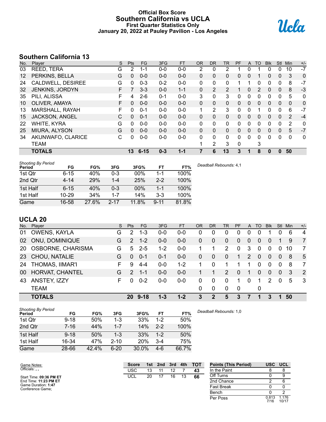### **Official Box Score Southern California vs UCLA First Quarter Statistics Only January 20, 2022 at Pauley Pavilion - Los Angeles**



# **Southern California 13**

| No.               | Plaver                 | S  | <b>Pts</b>      | FG       | 3FG     | <b>FT</b> | 0R           | <b>DR</b>      | TR           | <b>PF</b>    | A            | TO       | <b>Blk</b> | <b>Stl</b>     | Min          | $+/-$        |
|-------------------|------------------------|----|-----------------|----------|---------|-----------|--------------|----------------|--------------|--------------|--------------|----------|------------|----------------|--------------|--------------|
| 03                | REED, TERA             | G  | 2               | 1-1      | $0 - 0$ | $0-0$     | 2            | 0              | 2            |              | 0            |          | 0          | 0              | 10           | $-7$         |
| $12 \overline{ }$ | PERKINS, BELLA         | G  | $\mathbf{0}$    | $0 - 0$  | $0 - 0$ | $0 - 0$   | $\mathbf{0}$ | $\Omega$       | 0            | $\Omega$     | $\Omega$     | 1        | 0          | $\Omega$       | 3            | 0            |
| 24                | CALDWELL, DESIREE      | G  | $\mathbf{0}$    | $0 - 3$  | $0 - 2$ | $0 - 0$   | $\mathbf{0}$ | 0              | $\mathbf{0}$ |              |              | 0        | 0          | 0              | 8            | $-7$         |
| 32                | <b>JENKINS, JORDYN</b> | F. |                 | $3 - 3$  | $0 - 0$ | $1 - 1$   | $\Omega$     | 2              | 2            |              | $\Omega$     | 2        | $\Omega$   | $\Omega$       | 8            | $-3$         |
| 35                | PILI, ALISSA           | F  | 4               | $2-6$    | $0 - 1$ | $0-0$     | 3            | 0              | 3            | 0            | $\Omega$     | 0        | 0          | 0              | 5            | 0            |
| 10                | OLIVER, AMAYA          | F  | $\mathbf{0}$    | $0 - 0$  | $0 - 0$ | $0 - 0$   | $\Omega$     | $\mathbf{0}$   | 0            | $\mathbf{0}$ | 0            | 0        | 0          | $\overline{0}$ | $\mathbf{0}$ | 0            |
| 13                | MARSHALL, RAYAH        | F  | 0               | $0 - 1$  | $0 - 0$ | $0 - 0$   | 1            | 2              | 3            | $\Omega$     | 0            |          | 0          | 0              | 6            | $-7$         |
| 15                | <b>JACKSON, ANGEL</b>  | C  | $\Omega$        | $0 - 1$  | $0 - 0$ | $0 - 0$   | $\mathbf{0}$ | $\Omega$       | 0            | $\Omega$     | $\Omega$     | $\Omega$ | 0          | $\Omega$       | 2            | $-4$         |
| 22                | WHITE, KYRA            | G  | $\mathbf{0}$    | $0 - 0$  | $0 - 0$ | $0 - 0$   | $\mathbf{0}$ | 0              | $\mathbf{0}$ | 0            | $\mathbf{0}$ | 0        | 0          | 0              | 2            | $\mathbf{0}$ |
| 25                | <b>MIURA, ALYSON</b>   | G  | $\Omega$        | $0 - 0$  | $0 - 0$ | $0 - 0$   | $\Omega$     | $\Omega$       | 0            | $\Omega$     | $\Omega$     | $\Omega$ | $\Omega$   | $\Omega$       | 5            | $-7$         |
| 34                | AKUNWAFO, CLARICE      | C  | 0               | $0 - 0$  | $0 - 0$ | $0 - 0$   | $\Omega$     | $\Omega$       | $\Omega$     | $\Omega$     | $\Omega$     | 0        | 0          | $\Omega$       | $\Omega$     | 0            |
|                   | TEAM                   |    |                 |          |         |           |              | $\overline{2}$ | 3            | 0            |              | 3        |            |                |              |              |
|                   | <b>TOTALS</b>          |    | 13 <sup>°</sup> | $6 - 15$ | $0 - 3$ | $1 - 1$   |              | 6              | 13           | 3            |              | 8        | 0          |                | 50           |              |

| <b>Shooting By Period</b><br>Period | FG        | FG%   | 3FG      | 3FG%  | FT       | FT%   | Deadball Rebounds: 4,1 |
|-------------------------------------|-----------|-------|----------|-------|----------|-------|------------------------|
| 1st Qtr                             | $6 - 15$  | 40%   | $0 - 3$  | 00%   | 1-1      | 100%  |                        |
| 2nd Qtr                             | $4 - 14$  | 29%   | $1 - 4$  | 25%   | $2 - 2$  | 100%  |                        |
| 1st Half                            | $6 - 15$  | 40%   | $0 - 3$  | 00%   | 1-1      | 100%  |                        |
| 1st Half                            | $10 - 29$ | 34%   | $1 - 7$  | 14%   | $3-3$    | 100%  |                        |
| Game                                | 16-58     | 27.6% | $2 - 17$ | 11.8% | $9 - 11$ | 81.8% |                        |

# **UCLA 20**

Game Notes: Officials: **, ,**

Start Time: **09:36 PM ET** End Time: **11:23 PM ET** Game Duration: **1:47** Conference Game;

|    | No. Player             | S. | <b>Pts</b>     | FG          | 3FG     | <b>FT</b> | <b>OR</b>      | <b>DR</b>      | TR.           | <b>PF</b> |          | A TO        | <b>BIK</b>     | Stl          | Min | $+/-$                   |
|----|------------------------|----|----------------|-------------|---------|-----------|----------------|----------------|---------------|-----------|----------|-------------|----------------|--------------|-----|-------------------------|
| 01 | <b>OWENS, KAYLA</b>    | G  | $\overline{2}$ | $1 - 3$     | $0 - 0$ | $0 - 0$   | 0              | 0              |               | 0         | 0        |             |                |              | 6   | $\overline{4}$          |
| 02 | ONU, DOMINIQUE         | G  | $\overline{2}$ | $1 - 2$     | $0 - 0$ | $0-0$     | 0              | 0              | $\mathbf{0}$  | $\Omega$  | 0        | $\Omega$    | $\overline{0}$ |              | 9   | $\overline{7}$          |
|    | 20 OSBORNE, CHARISMA   | G  | 5.             | $2 - 5$     | $1-2$   | $0 - 0$   |                |                | $\mathcal{P}$ | $\Omega$  | 3        | $\Omega$    | 0              | $\Omega$     | 10  | 7                       |
|    | 23 CHOU, NATALIE       | G  | 0              | $0 - 1$     | $0 - 1$ | $0 - 0$   | $\overline{0}$ | $\overline{0}$ | $\Omega$      | 1         | 2        | $\Omega$    | $\Omega$       | $\Omega$     | -8  | 5                       |
| 24 | <b>THOMAS, IIMAR'I</b> | F. | 9              | 4-4         | $0 - 0$ | $1 - 2$   |                | $\Omega$       |               |           |          | $\Omega$    | $\Omega$       | $\Omega$     | -8  | 7                       |
|    | 00 HORVAT, CHANTEL     | G. | $\mathcal{P}$  | $1 - 1$     | $0 - 0$ | $0-0$     |                |                | $\mathcal{P}$ | $\Omega$  | 1        | $\Omega$    | $\mathbf{0}$   | $\mathbf{0}$ | -3  | $\overline{2}$          |
| 43 | ANSTEY, IZZY           | F. | 0              | $0 - 2$     | $0 - 0$ | $0-0$     | $\Omega$       | $\Omega$       |               |           | $\Omega$ |             | $\overline{2}$ | $\Omega$     | 5   | $\overline{\mathbf{3}}$ |
|    | <b>TEAM</b>            |    |                |             |         |           | 0              | $\Omega$       | $\Omega$      | 0         |          | $\mathbf 0$ |                |              |     |                         |
|    | <b>TOTALS</b>          |    |                | $20.9 - 18$ | $1 - 3$ | $1 - 2$   | 3              | 2              | 5             | 3         | 7        | 1           | 3              |              | 50  |                         |

| <b>Shooting By Period</b><br>Period | FG       | FG%   | 3FG      | 3FG%       | FT      | FT%   | Deadball Rebounds: 1,0 |
|-------------------------------------|----------|-------|----------|------------|---------|-------|------------------------|
| 1st Qtr                             | $9 - 18$ | 50%   | 1-3      | 33%        | 1-2     | 50%   |                        |
| 2nd Qtr                             | 7-16     | 44%   | $1 - 7$  | 14%        | $2 - 2$ | 100%  |                        |
| 1st Half                            | $9 - 18$ | 50%   | 1-3      | 33%        | $1-2$   | 50%   |                        |
| 1st Half                            | 16-34    | 47%   | $2 - 10$ | <b>20%</b> | $3 - 4$ | 75%   |                        |
| Game                                | 28-66    | 42.4% | $6 - 20$ | 30.0%      | $4-6$   | 66.7% |                        |

| <b>Score</b> |    | 1st 2nd 3rd 4th |    |    | <b>TOT</b> | <b>Points (This Period)</b> | <b>USC</b>    | <b>UCL</b>       |
|--------------|----|-----------------|----|----|------------|-----------------------------|---------------|------------------|
| <b>USC</b>   | 13 | 11              | 12 |    | 43         | In the Paint                |               | 8                |
| <b>UCL</b>   | 20 | 17              | 16 | 13 | 66         | Off Turns                   |               | 9                |
|              |    |                 |    |    |            | 2nd Chance                  |               | 6                |
|              |    |                 |    |    |            | <b>Fast Break</b>           |               |                  |
|              |    |                 |    |    |            | Bench                       |               | 2                |
|              |    |                 |    |    |            | Per Poss                    | 0.813<br>7/16 | 1 1 7 6<br>10/17 |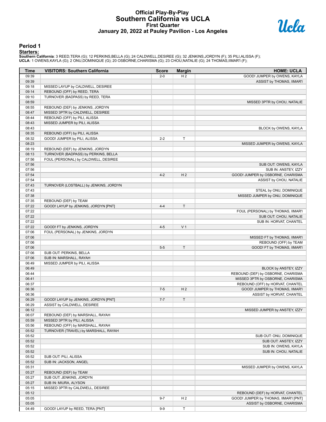#### **Official Play-By-Play Southern California vs UCLA First Quarter January 20, 2022 at Pauley Pavilion - Los Angeles**



#### **Period 1**

<mark>Starters :</mark><br>Southern California: 3 REED,TERA (G); 12 PERKINS,BELLA (G); 24 CALDWELL,DESIREE (G); 32 JENKINS,JORDYN (F); 35 PILI,ALISSA (F);<br>UCLA: 1 OWENS,KAYLA (G); 2 ONU,DOMINIQUE (G); 20 OSBORNE,CHARISMA (G); 23 CHOU,NA

| Time  | <b>VISITORS: Southern California</b>   | <b>Score</b> | <b>Margin</b>  | <b>HOME: UCLA</b>                     |
|-------|----------------------------------------|--------------|----------------|---------------------------------------|
| 09:39 |                                        | $2 - 0$      | H <sub>2</sub> | GOOD! JUMPER by OWENS, KAYLA          |
| 09:39 |                                        |              |                | ASSIST by THOMAS, IIMAR'I             |
| 09:18 | MISSED LAYUP by CALDWELL, DESIREE      |              |                |                                       |
| 09:14 | REBOUND (OFF) by REED, TERA            |              |                |                                       |
| 09:10 | TURNOVER (BADPASS) by REED, TERA       |              |                |                                       |
| 08:59 |                                        |              |                | MISSED 3PTR by CHOU, NATALIE          |
| 08:55 | REBOUND (DEF) by JENKINS, JORDYN       |              |                |                                       |
| 08:47 | MISSED 3PTR by CALDWELL, DESIREE       |              |                |                                       |
| 08:44 | REBOUND (OFF) by PILI, ALISSA          |              |                |                                       |
| 08:43 | MISSED JUMPER by PILI, ALISSA          |              |                |                                       |
| 08:43 |                                        |              |                | BLOCK by OWENS, KAYLA                 |
| 08:35 | REBOUND (OFF) by PILI, ALISSA          |              |                |                                       |
| 08:32 | GOOD! JUMPER by PILI, ALISSA           | $2 - 2$      | Т              |                                       |
| 08:23 |                                        |              |                | MISSED JUMPER by OWENS, KAYLA         |
| 08:19 | REBOUND (DEF) by JENKINS, JORDYN       |              |                |                                       |
| 08:13 | TURNOVER (BADPASS) by PERKINS, BELLA   |              |                |                                       |
| 07:56 | FOUL (PERSONAL) by CALDWELL, DESIREE   |              |                |                                       |
| 07:56 |                                        |              |                | SUB OUT: OWENS, KAYLA                 |
| 07:56 |                                        |              |                | SUB IN: ANSTEY, IZZY                  |
| 07:54 |                                        | $4 - 2$      | H <sub>2</sub> | GOOD! JUMPER by OSBORNE, CHARISMA     |
| 07:54 |                                        |              |                | ASSIST by CHOU, NATALIE               |
| 07:43 | TURNOVER (LOSTBALL) by JENKINS, JORDYN |              |                |                                       |
| 07:43 |                                        |              |                | STEAL by ONU, DOMINIQUE               |
| 07:38 |                                        |              |                | MISSED JUMPER by ONU, DOMINIQUE       |
| 07:35 | REBOUND (DEF) by TEAM                  |              |                |                                       |
| 07:22 | GOOD! LAYUP by JENKINS, JORDYN [PNT]   | $4 - 4$      | $\mathsf T$    |                                       |
| 07:22 |                                        |              |                | FOUL (PERSONAL) by THOMAS, IIMAR'I    |
| 07:22 |                                        |              |                | SUB OUT: CHOU, NATALIE                |
| 07:22 |                                        |              |                | SUB IN: HORVAT, CHANTEL               |
| 07:22 |                                        | $4 - 5$      | V <sub>1</sub> |                                       |
| 07:06 | GOOD! FT by JENKINS, JORDYN            |              |                |                                       |
|       | FOUL (PERSONAL) by JENKINS, JORDYN     |              |                |                                       |
| 07:06 |                                        |              |                | MISSED FT by THOMAS, IIMAR'I          |
| 07:06 |                                        |              |                | REBOUND (OFF) by TEAM                 |
| 07:06 |                                        | $5 - 5$      | T.             | GOOD! FT by THOMAS, IIMAR'I           |
| 07:06 | SUB OUT: PERKINS, BELLA                |              |                |                                       |
| 07:06 | SUB IN: MARSHALL, RAYAH                |              |                |                                       |
| 06:49 | MISSED JUMPER by PILI, ALISSA          |              |                |                                       |
| 06:49 |                                        |              |                | BLOCK by ANSTEY, IZZY                 |
| 06:44 |                                        |              |                | REBOUND (DEF) by OSBORNE, CHARISMA    |
| 06:41 |                                        |              |                | MISSED 3PTR by OSBORNE, CHARISMA      |
| 06:37 |                                        |              |                | REBOUND (OFF) by HORVAT, CHANTEL      |
| 06:36 |                                        | $7 - 5$      | H <sub>2</sub> | GOOD! JUMPER by THOMAS, IIMAR'I       |
| 06:36 |                                        |              |                | ASSIST by HORVAT, CHANTEL             |
| 06:29 | GOOD! LAYUP by JENKINS, JORDYN [PNT]   | $7 - 7$      | $\mathsf T$    |                                       |
| 06:29 | ASSIST by CALDWELL, DESIREE            |              |                |                                       |
| 06:12 |                                        |              |                | MISSED JUMPER by ANSTEY, IZZY         |
| 06:07 | REBOUND (DEF) by MARSHALL, RAYAH       |              |                |                                       |
| 05:59 | MISSED 3PTR by PILI, ALISSA            |              |                |                                       |
| 05:56 | REBOUND (OFF) by MARSHALL, RAYAH       |              |                |                                       |
| 05:52 | TURNOVER (TRAVEL) by MARSHALL, RAYAH   |              |                |                                       |
| 05:52 |                                        |              |                | SUB OUT: ONU, DOMINIQUE               |
| 05:52 |                                        |              |                | SUB OUT: ANSTEY, IZZY                 |
| 05:52 |                                        |              |                | SUB IN: OWENS, KAYLA                  |
| 05:52 |                                        |              |                | SUB IN: CHOU, NATALIE                 |
| 05:52 | SUB OUT: PILI, ALISSA                  |              |                |                                       |
| 05:52 | SUB IN: JACKSON, ANGEL                 |              |                |                                       |
| 05:31 |                                        |              |                | MISSED JUMPER by OWENS, KAYLA         |
| 05:27 | REBOUND (DEF) by TEAM                  |              |                |                                       |
| 05:27 | SUB OUT: JENKINS, JORDYN               |              |                |                                       |
| 05:27 | SUB IN: MIURA, ALYSON                  |              |                |                                       |
| 05:15 | MISSED 3PTR by CALDWELL, DESIREE       |              |                |                                       |
| 05:12 |                                        |              |                | REBOUND (DEF) by HORVAT, CHANTEL      |
| 05:05 |                                        | $9 - 7$      | H <sub>2</sub> | GOOD! JUMPER by THOMAS, IIMAR'I [PNT] |
| 05:05 |                                        |              |                | ASSIST by OSBORNE, CHARISMA           |
| 04:49 | GOOD! LAYUP by REED, TERA [PNT]        | $9-9$        | T              |                                       |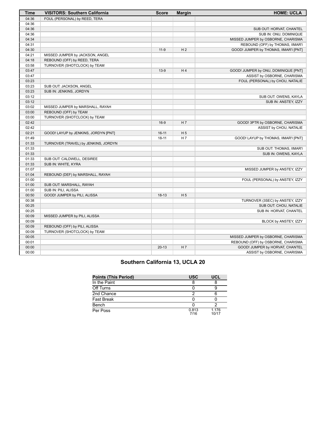| Time  | <b>VISITORS: Southern California</b> | <b>Score</b> | <b>Margin</b>  | <b>HOME: UCLA</b>                     |
|-------|--------------------------------------|--------------|----------------|---------------------------------------|
| 04:36 | FOUL (PERSONAL) by REED, TERA        |              |                |                                       |
| 04:36 |                                      |              |                |                                       |
| 04:36 |                                      |              |                | SUB OUT: HORVAT, CHANTEL              |
| 04:36 |                                      |              |                | SUB IN: ONU, DOMINIQUE                |
| 04:34 |                                      |              |                | MISSED JUMPER by OSBORNE, CHARISMA    |
| 04:31 |                                      |              |                | REBOUND (OFF) by THOMAS, IIMAR'I      |
| 04:30 |                                      | $11-9$       | H <sub>2</sub> | GOOD! JUMPER by THOMAS, IIMAR'I [PNT] |
| 04:21 | MISSED JUMPER by JACKSON, ANGEL      |              |                |                                       |
| 04:18 | REBOUND (OFF) by REED, TERA          |              |                |                                       |
| 03:58 | TURNOVER (SHOTCLOCK) by TEAM         |              |                |                                       |
| 03:47 |                                      | $13-9$       | H <sub>4</sub> | GOOD! JUMPER by ONU, DOMINIQUE [PNT]  |
| 03:47 |                                      |              |                | ASSIST by OSBORNE, CHARISMA           |
| 03:23 |                                      |              |                | FOUL (PERSONAL) by CHOU, NATALIE      |
| 03:23 | SUB OUT: JACKSON, ANGEL              |              |                |                                       |
| 03:23 | SUB IN: JENKINS, JORDYN              |              |                |                                       |
| 03:12 |                                      |              |                | SUB OUT: OWENS, KAYLA                 |
| 03:12 |                                      |              |                | SUB IN: ANSTEY, IZZY                  |
| 03:02 | MISSED JUMPER by MARSHALL, RAYAH     |              |                |                                       |
| 03:00 | REBOUND (OFF) by TEAM                |              |                |                                       |
| 03:00 | TURNOVER (SHOTCLOCK) by TEAM         |              |                |                                       |
| 02:42 |                                      | $16-9$       | H <sub>7</sub> | GOOD! 3PTR by OSBORNE, CHARISMA       |
| 02:42 |                                      |              |                | ASSIST by CHOU, NATALIE               |
| 02:21 | GOOD! LAYUP by JENKINS, JORDYN [PNT] | $16 - 11$    | H <sub>5</sub> |                                       |
| 01:49 |                                      | $18 - 11$    | H <sub>7</sub> | GOOD! LAYUP by THOMAS, IIMAR'I [PNT]  |
| 01:33 | TURNOVER (TRAVEL) by JENKINS, JORDYN |              |                |                                       |
| 01:33 |                                      |              |                | SUB OUT: THOMAS, IIMAR'I              |
| 01:33 |                                      |              |                | SUB IN: OWENS, KAYLA                  |
| 01:33 | SUB OUT: CALDWELL, DESIREE           |              |                |                                       |
| 01:33 | SUB IN: WHITE, KYRA                  |              |                |                                       |
| 01:07 |                                      |              |                | MISSED JUMPER by ANSTEY, IZZY         |
| 01:04 | REBOUND (DEF) by MARSHALL, RAYAH     |              |                |                                       |
| 01:00 |                                      |              |                | FOUL (PERSONAL) by ANSTEY, IZZY       |
| 01:00 | SUB OUT: MARSHALL, RAYAH             |              |                |                                       |
| 01:00 | SUB IN: PILI, ALISSA                 |              |                |                                       |
| 00:50 | GOOD! JUMPER by PILI, ALISSA         | $18-13$      | H <sub>5</sub> |                                       |
| 00:38 |                                      |              |                | TURNOVER (3SEC) by ANSTEY, IZZY       |
| 00:25 |                                      |              |                | SUB OUT: CHOU, NATALIE                |
| 00:25 |                                      |              |                | SUB IN: HORVAT, CHANTEL               |
| 00:09 | MISSED JUMPER by PILI, ALISSA        |              |                |                                       |
| 00:09 |                                      |              |                | BLOCK by ANSTEY, IZZY                 |
| 00:09 | REBOUND (OFF) by PILI, ALISSA        |              |                |                                       |
| 00:09 | TURNOVER (SHOTCLOCK) by TEAM         |              |                |                                       |
| 00:05 |                                      |              |                | MISSED JUMPER by OSBORNE, CHARISMA    |
| 00:01 |                                      |              |                | REBOUND (OFF) by OSBORNE, CHARISMA    |
| 00:00 |                                      | $20-13$      | H 7            | GOOD! JUMPER by HORVAT, CHANTEL       |
| 00:00 |                                      |              |                | ASSIST by OSBORNE, CHARISMA           |

# **Southern California 13, UCLA 20**

| Points (This Period) | <b>USC</b>    | <b>UCL</b>     |
|----------------------|---------------|----------------|
| In the Paint         |               |                |
| Off Turns            |               |                |
| 2nd Chance           |               |                |
| Fast Break           |               |                |
| Bench                |               |                |
| Per Poss             | 0.813<br>7/16 | 1.176<br>10/17 |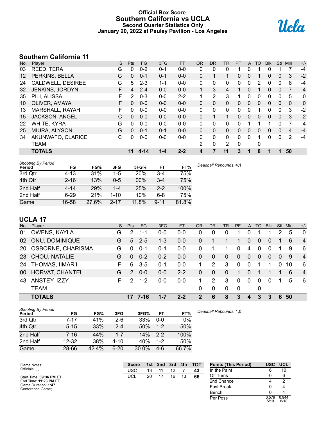#### **Official Box Score Southern California vs UCLA Second Quarter Statistics Only January 20, 2022 at Pauley Pavilion - Los Angeles**



# **Southern California 11**

| No.               | Player                | S | <b>Pts</b>   | <b>FG</b> | 3FG     | <b>FT</b> | <b>OR</b> | <b>DR</b>    | TR | PF       | A            | TO | <b>Blk</b> | <b>Stl</b>   | Min            | $+/-$ |
|-------------------|-----------------------|---|--------------|-----------|---------|-----------|-----------|--------------|----|----------|--------------|----|------------|--------------|----------------|-------|
| 03                | REED, TERA            | G | 0            | $0 - 2$   | $0 - 1$ | $0 - 0$   | 0         | 0            | 0  |          | 0            |    | 0          |              |                | $-4$  |
| $12 \overline{ }$ | PERKINS, BELLA        | G | $\mathbf{0}$ | $0 - 1$   | $0 - 1$ | $0 - 0$   | 0         |              | 1  | 0        | $\mathbf{0}$ |    | 0          | $\mathbf{0}$ | 3              | $-2$  |
| 24                | CALDWELL, DESIREE     | G | 5            | $2 - 3$   | 1-1     | $0 - 0$   | 0         | 0            | 0  | 0        | 0            | 2  | 0          | 0            | 8              | $-4$  |
| 32                | JENKINS, JORDYN       | F | 4            | $2 - 4$   | $0 - 0$ | $0 - 0$   | 1         | 3            | 4  |          | $\Omega$     |    | 0          | $\Omega$     | $\overline{7}$ | $-4$  |
| 35                | PILI, ALISSA          | F | 2            | $0 - 3$   | $0 - 0$ | $2 - 2$   | 1         | 2            | 3  |          | $\Omega$     | 0  | 0          | $\mathbf 0$  | 5              | 0     |
| 10                | OLIVER, AMAYA         | F | 0            | $0 - 0$   | $0 - 0$ | $0 - 0$   | 0         | $\mathbf{0}$ | 0  | 0        | $\mathbf{0}$ | 0  | 0          | $\mathbf{0}$ | $\mathbf{0}$   | 0     |
| 13                | MARSHALL, RAYAH       | F | 0            | $0 - 0$   | $0 - 0$ | $0-0$     | 0         | 0            | 0  | 0        | $\Omega$     |    | 0          | $\Omega$     | 3              | $-2$  |
| 15                | <b>JACKSON, ANGEL</b> | C | $\mathbf{0}$ | $0 - 0$   | $0 - 0$ | $0 - 0$   | 0         |              | 1  | 0        | $\Omega$     | 0  | 0          | $\mathbf{0}$ | 3              | $-2$  |
| 22                | WHITE, KYRA           | G | 0            | $0 - 0$   | $0 - 0$ | $0 - 0$   | 0         | $\Omega$     | 0  | 0        |              |    |            | 0            | 7              | $-4$  |
| 25                | MIURA, ALYSON         | G | 0            | $0 - 1$   | $0 - 1$ | $0 - 0$   | $\Omega$  | $\Omega$     | 0  | $\Omega$ | $\Omega$     | 0  | 0          | $\Omega$     | $\overline{4}$ | $-4$  |
| 34                | AKUNWAFO, CLARICE     | С | 0            | $0 - 0$   | $0 - 0$ | $0 - 0$   | $\Omega$  | $\Omega$     | 0  | 0        | $\Omega$     | 1  | 0          | $\Omega$     | 2              | $-4$  |
|                   | <b>TEAM</b>           |   |              |           |         |           | 2         | $\mathbf{0}$ | 2  | $\Omega$ |              | 0  |            |              |                |       |
|                   | <b>TOTALS</b>         |   | 11           | $4 - 14$  | 1-4     | $2 - 2$   | 4         |              | 11 | 3        |              | 8  |            |              | 50             |       |

| <b>Shooting By Period</b><br>Period | FG       | FG%   | 3FG      | 3FG%       | FT       | FT%   |
|-------------------------------------|----------|-------|----------|------------|----------|-------|
| 3rd Qtr                             | $4 - 13$ | 31%   | $1-5$    | <b>20%</b> | 3-4      | 75%   |
| 4th Qtr                             | $2 - 16$ | 13%   | $0 - 5$  | $00\%$     | $3 - 4$  | 75%   |
| 2nd Half                            | $4 - 14$ | 29%   | 1-4      | 25%        | $2 - 2$  | 100%  |
| 2nd Half                            | $6 - 29$ | 21%   | $1 - 10$ | 10%        | $6 - 8$  | 75%   |
| Game                                | 16-58    | 27.6% | $2 - 17$ | 11.8%      | $9 - 11$ | 81.8% |

# **UCLA 17**

| No.             | Player                 | S. | Pts           | FG      | 3FG     | <b>FT</b> | <b>OR</b>    | DR           | TR       | <b>PF</b>      | $\mathsf{A}$ | TO       | <b>Blk</b>   | Stl            | Min | $+/-$          |
|-----------------|------------------------|----|---------------|---------|---------|-----------|--------------|--------------|----------|----------------|--------------|----------|--------------|----------------|-----|----------------|
| 01              | OWENS, KAYLA           | G  | $\mathcal{P}$ | 1-1     | $0 - 0$ | 0-0       | 0            | 0            | $\Omega$ |                | 0            |          |              |                | 5   | $\overline{0}$ |
| 02              | <b>ONU, DOMINIQUE</b>  | G  | 5.            | $2 - 5$ | $1 - 3$ | $0-0$     | 0            |              |          |                | 0            | $\Omega$ | 0            |                | 6   | $\overline{4}$ |
| <b>20</b>       | OSBORNE, CHARISMA      | G  | $\Omega$      | $0 - 1$ | $0 - 1$ | $0-0$     | 0            |              |          | 0              | 4            | $\Omega$ | $\Omega$     |                | 9   | -6             |
|                 | 23 CHOU, NATALIE       | G  | $\Omega$      | $0 - 2$ | $0 - 2$ | $0 - 0$   | $\Omega$     | $\mathbf{0}$ | $\Omega$ | $\overline{0}$ | $\mathbf{0}$ | $\Omega$ | $\mathbf{0}$ | $\overline{0}$ | 9   | $\overline{4}$ |
| 24              | <b>THOMAS, IIMAR'I</b> | F. | 6             | $3-5$   | $0 - 1$ | $0-0$     | 1.           | 2            | 3        | $\Omega$       | $\mathbf{0}$ |          |              | $\Omega$       | 10  | 6              |
| 00 <sup>1</sup> | HORVAT, CHANTEL        | G  | $\mathcal{P}$ | $0 - 0$ | $0 - 0$ | $2 - 2$   | $\Omega$     | $\Omega$     | $\Omega$ | 1              | $\Omega$     |          |              |                | 6   | $\overline{4}$ |
| 43              | ANSTEY, IZZY           | F. | $\mathcal{P}$ | $1 - 2$ | $0-0$   | $0-0$     | 1            | 2            | 3        | 0              | 0            | $\Omega$ | $\Omega$     |                | 5   | - 6            |
|                 | <b>TEAM</b>            |    |               |         |         |           | 0            | $\Omega$     | $\Omega$ | $\mathbf{0}$   |              | 0        |              |                |     |                |
|                 | <b>TOTALS</b>          |    |               | 7-16    |         | $2 - 2$   | $\mathbf{c}$ | 6            | 8        | 3              | 4            | 3        | 3            | 6              | 50  |                |

| <b>Shooting By Period</b><br>Period | FG        | FG%   | 3FG      | 3FG%     | FT      | FT%   | Deadb |
|-------------------------------------|-----------|-------|----------|----------|---------|-------|-------|
| 3rd Qtr                             | $7 - 17$  | 41%   | $2-6$    | 33%      | $0 - 0$ | $0\%$ |       |
| 4th Qtr                             | $5 - 15$  | 33%   | $2 - 4$  | 50%      | $1 - 2$ | 50%   |       |
| 2nd Half                            | $7 - 16$  | 44%   | $1 - 7$  | 14%      | $2 - 2$ | 100%  |       |
| 2nd Half                            | $12 - 32$ | 38%   | $4 - 10$ | 40%      | $1-2$   | 50%   |       |
| Game                                | 28-66     | 42.4% | $6 - 20$ | $30.0\%$ | 4-6     | 66.7% |       |

*Deadball Rebounds:* 1,0

| Game Notes:                             | <b>Score</b> | 1st l | 2nd | 3rd | 4th | <b>TOT</b> | <b>Points (This Period)</b> | USC           | <b>UCL</b>    |
|-----------------------------------------|--------------|-------|-----|-----|-----|------------|-----------------------------|---------------|---------------|
| Officials:                              | <b>USC</b>   | 13    |     | 12  |     | 43         | In the Paint                |               | 10            |
| Start Time: 09:36 PM ET                 | UCL          | 20    |     | 16  | 13  | 66         | Off Turns                   |               |               |
| End Time: 11:23 PM ET                   |              |       |     |     |     |            | 2nd Chance                  |               |               |
| Game Duration: 1:47<br>Conference Game: |              |       |     |     |     |            | <b>Fast Break</b>           |               |               |
|                                         |              |       |     |     |     |            | Bench                       |               |               |
|                                         |              |       |     |     |     |            | Per Poss                    | 0.579<br>5/19 | 0.944<br>8/18 |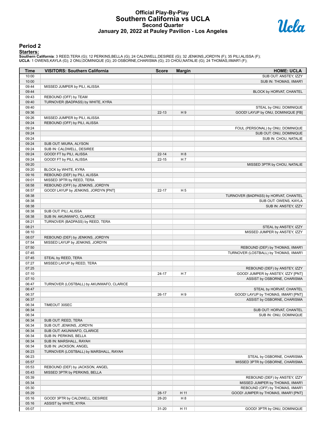#### **Official Play-By-Play Southern California vs UCLA Second Quarter January 20, 2022 at Pauley Pavilion - Los Angeles**



#### **Period 2**

<mark>Starters :</mark><br>Southern California: 3 REED,TERA (G); 12 PERKINS,BELLA (G); 24 CALDWELL,DESIREE (G); 32 JENKINS,JORDYN (F); 35 PILI,ALISSA (F);<br>UCLA: 1 OWENS,KAYLA (G); 2 ONU,DOMINIQUE (G); 20 OSBORNE,CHARISMA (G); 23 CHOU,NA

| Time           | <b>VISITORS: Southern California</b>     | <b>Score</b> | <b>Margin</b>  | <b>HOME: UCLA</b>                                                |
|----------------|------------------------------------------|--------------|----------------|------------------------------------------------------------------|
| 10:00          |                                          |              |                | SUB OUT: ANSTEY, IZZY                                            |
| 10:00          |                                          |              |                | SUB IN: THOMAS, IIMAR'I                                          |
| 09:44          | MISSED JUMPER by PILI, ALISSA            |              |                |                                                                  |
| 09:44          |                                          |              |                | BLOCK by HORVAT, CHANTEL                                         |
| 09:43          | REBOUND (OFF) by TEAM                    |              |                |                                                                  |
| 09:40          | TURNOVER (BADPASS) by WHITE, KYRA        |              |                |                                                                  |
| 09:40          |                                          |              |                | STEAL by ONU, DOMINIQUE                                          |
| 09:36          |                                          | $22 - 13$    | H9             | GOOD! LAYUP by ONU, DOMINIQUE [FB]                               |
| 09:26          | MISSED JUMPER by PILI, ALISSA            |              |                |                                                                  |
| 09:24          | REBOUND (OFF) by PILI, ALISSA            |              |                |                                                                  |
| 09:24<br>09:24 |                                          |              |                | FOUL (PERSONAL) by ONU, DOMINIQUE                                |
| 09:24          |                                          |              |                | SUB OUT: ONU, DOMINIQUE<br>SUB IN: CHOU, NATALIE                 |
| 09:24          | SUB OUT: MIURA, ALYSON                   |              |                |                                                                  |
| 09:24          | SUB IN: CALDWELL, DESIREE                |              |                |                                                                  |
| 09:24          | GOOD! FT by PILI, ALISSA                 | $22 - 14$    | H <sub>8</sub> |                                                                  |
| 09:24          | GOOD! FT by PILI, ALISSA                 | $22 - 15$    | H 7            |                                                                  |
| 09:20          |                                          |              |                | MISSED 3PTR by CHOU, NATALIE                                     |
| 09:20          | BLOCK by WHITE, KYRA                     |              |                |                                                                  |
| 09:16          | REBOUND (DEF) by PILI, ALISSA            |              |                |                                                                  |
| 09:01          | MISSED 3PTR by REED, TERA                |              |                |                                                                  |
| 08:58          | REBOUND (OFF) by JENKINS, JORDYN         |              |                |                                                                  |
| 08:57          | GOOD! LAYUP by JENKINS, JORDYN [PNT]     | $22 - 17$    | H <sub>5</sub> |                                                                  |
| 08:38          |                                          |              |                | TURNOVER (BADPASS) by HORVAT, CHANTEL                            |
| 08:38          |                                          |              |                | SUB OUT: OWENS, KAYLA                                            |
| 08:38          |                                          |              |                | SUB IN: ANSTEY, IZZY                                             |
| 08:38          | SUB OUT: PILI, ALISSA                    |              |                |                                                                  |
| 08:38          | SUB IN: AKUNWAFO, CLARICE                |              |                |                                                                  |
| 08:21          | TURNOVER (BADPASS) by REED, TERA         |              |                |                                                                  |
| 08:21          |                                          |              |                | STEAL by ANSTEY, IZZY                                            |
| 08:10          |                                          |              |                | MISSED JUMPER by ANSTEY, IZZY                                    |
| 08:07          | REBOUND (DEF) by JENKINS, JORDYN         |              |                |                                                                  |
| 07:54          | MISSED LAYUP by JENKINS, JORDYN          |              |                |                                                                  |
| 07:50          |                                          |              |                | REBOUND (DEF) by THOMAS, IIMAR'I                                 |
| 07:45          |                                          |              |                | TURNOVER (LOSTBALL) by THOMAS, IIMAR'I                           |
| 07:45          | STEAL by REED, TERA                      |              |                |                                                                  |
| 07:27          | MISSED LAYUP by REED, TERA               |              |                |                                                                  |
| 07:25          |                                          |              |                | REBOUND (DEF) by ANSTEY, IZZY                                    |
| 07:10          |                                          | $24 - 17$    | H 7            | GOOD! JUMPER by ANSTEY, IZZY [PNT]                               |
| 07:10<br>06:47 | TURNOVER (LOSTBALL) by AKUNWAFO, CLARICE |              |                | ASSIST by OSBORNE, CHARISMA                                      |
| 06:47          |                                          |              |                |                                                                  |
| 06:37          |                                          | 26-17        | H9             | STEAL by HORVAT, CHANTEL<br>GOOD! LAYUP by THOMAS, IIMAR'I [PNT] |
| 06:37          |                                          |              |                | ASSIST by OSBORNE, CHARISMA                                      |
| 06:34          | TIMEOUT 30SEC                            |              |                |                                                                  |
| 06:34          |                                          |              |                | SUB OUT: HORVAT, CHANTEL                                         |
| 06:34          |                                          |              |                | SUB IN: ONU, DOMINIQUE                                           |
| 06:34          | SUB OUT: REED, TERA                      |              |                |                                                                  |
| 06:34          | SUB OUT: JENKINS, JORDYN                 |              |                |                                                                  |
| 06:34          | SUB OUT: AKUNWAFO, CLARICE               |              |                |                                                                  |
| 06:34          | SUB IN: PERKINS, BELLA                   |              |                |                                                                  |
| 06:34          | SUB IN: MARSHALL, RAYAH                  |              |                |                                                                  |
| 06:34          | SUB IN: JACKSON, ANGEL                   |              |                |                                                                  |
| 06:23          | TURNOVER (LOSTBALL) by MARSHALL, RAYAH   |              |                |                                                                  |
| 06:23          |                                          |              |                | STEAL by OSBORNE, CHARISMA                                       |
| 05:57          |                                          |              |                | MISSED 3PTR by OSBORNE, CHARISMA                                 |
| 05:53          | REBOUND (DEF) by JACKSON, ANGEL          |              |                |                                                                  |
| 05:43          | MISSED 3PTR by PERKINS, BELLA            |              |                |                                                                  |
| 05:39          |                                          |              |                | REBOUND (DEF) by ANSTEY, IZZY                                    |
| 05:34          |                                          |              |                | MISSED JUMPER by THOMAS, IIMAR'I                                 |
| 05:30          |                                          |              |                | REBOUND (OFF) by THOMAS, IIMAR'I                                 |
| 05:29          |                                          | 28-17        | H 11           | GOOD! JUMPER by THOMAS, IIMAR'I [PNT]                            |
| 05:16          | GOOD! 3PTR by CALDWELL, DESIREE          | 28-20        | H <sub>8</sub> |                                                                  |
| 05:16          | ASSIST by WHITE, KYRA                    |              |                |                                                                  |
| 05:07          |                                          | $31 - 20$    | H 11           | GOOD! 3PTR by ONU, DOMINIQUE                                     |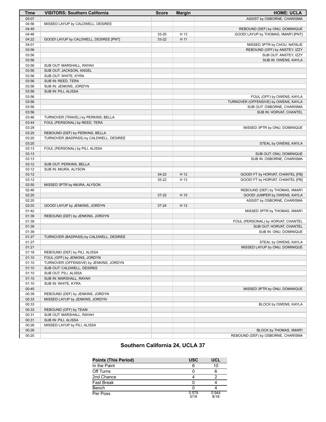| Time           | <b>VISITORS: Southern California</b>    | <b>Score</b> | <b>Margin</b> | <b>HOME: UCLA</b>                                              |
|----------------|-----------------------------------------|--------------|---------------|----------------------------------------------------------------|
| 05:07          |                                         |              |               | ASSIST by OSBORNE, CHARISMA                                    |
| 04:56          | MISSED LAYUP by CALDWELL, DESIREE       |              |               |                                                                |
| 04:49          |                                         |              |               | REBOUND (DEF) by ONU, DOMINIQUE                                |
| 04:46          |                                         | 33-20        | H 13          | GOOD! LAYUP by THOMAS, IIMAR'I [PNT]                           |
| 04:22          | GOOD! LAYUP by CALDWELL, DESIREE [PNT]  | 33-22        | H 11          |                                                                |
| 04:01          |                                         |              |               | MISSED 3PTR by CHOU, NATALIE                                   |
| 03:56          |                                         |              |               | REBOUND (OFF) by ANSTEY, IZZY                                  |
| 03:56          |                                         |              |               | SUB OUT: ANSTEY, IZZY                                          |
| 03:56          |                                         |              |               | SUB IN: OWENS, KAYLA                                           |
| 03:56          | SUB OUT: MARSHALL, RAYAH                |              |               |                                                                |
| 03:56          | SUB OUT: JACKSON, ANGEL                 |              |               |                                                                |
| 03:56          | SUB OUT: WHITE, KYRA                    |              |               |                                                                |
| 03:56          | SUB IN: REED, TERA                      |              |               |                                                                |
| 03:56          | SUB IN: JENKINS, JORDYN                 |              |               |                                                                |
| 03:56          | SUB IN: PILI, ALISSA                    |              |               |                                                                |
| 03:56          |                                         |              |               | FOUL (OFF) by OWENS, KAYLA                                     |
| 03:56          |                                         |              |               | TURNOVER (OFFENSIVE) by OWENS, KAYLA                           |
| 03:56          |                                         |              |               | SUB OUT: OSBORNE, CHARISMA                                     |
| 03:56          |                                         |              |               | SUB IN: HORVAT, CHANTEL                                        |
| 03:46          | TURNOVER (TRAVEL) by PERKINS, BELLA     |              |               |                                                                |
| 03:44<br>03:29 | FOUL (PERSONAL) by REED, TERA           |              |               |                                                                |
| 03:25          | REBOUND (DEF) by PERKINS, BELLA         |              |               | MISSED 3PTR by ONU, DOMINIQUE                                  |
| 03:20          | TURNOVER (BADPASS) by CALDWELL, DESIREE |              |               |                                                                |
| 03:20          |                                         |              |               | STEAL by OWENS, KAYLA                                          |
| 03:13          | FOUL (PERSONAL) by PILI, ALISSA         |              |               |                                                                |
| 03:13          |                                         |              |               | SUB OUT: ONU, DOMINIQUE                                        |
| 03:13          |                                         |              |               | SUB IN: OSBORNE, CHARISMA                                      |
| 03:12          | SUB OUT: PERKINS, BELLA                 |              |               |                                                                |
| 03:12          | SUB IN: MIURA, ALYSON                   |              |               |                                                                |
| 03:12          |                                         | 34-22        | H 12          | GOOD! FT by HORVAT, CHANTEL [FB]                               |
| 03:12          |                                         | 35-22        | H 13          | GOOD! FT by HORVAT, CHANTEL [FB]                               |
| 02:50          | MISSED 3PTR by MIURA, ALYSON            |              |               |                                                                |
| 02:46          |                                         |              |               | REBOUND (DEF) by THOMAS, IIMAR'I                               |
| 02:20          |                                         | 37-22        | H 15          | GOOD! JUMPER by OWENS, KAYLA                                   |
| 02:20          |                                         |              |               | ASSIST by OSBORNE, CHARISMA                                    |
| 02:03          | GOOD! LAYUP by JENKINS, JORDYN          | $37 - 24$    | H 13          |                                                                |
| 01:42          |                                         |              |               | MISSED 3PTR by THOMAS, IIMAR'I                                 |
| 01:39          | REBOUND (DEF) by JENKINS, JORDYN        |              |               |                                                                |
| 01:39          |                                         |              |               | FOUL (PERSONAL) by HORVAT, CHANTEL                             |
| 01:39          |                                         |              |               | SUB OUT: HORVAT, CHANTEL                                       |
| 01:39          |                                         |              |               | SUB IN: ONU, DOMINIQUE                                         |
| 01:27          | TURNOVER (BADPASS) by CALDWELL, DESIREE |              |               |                                                                |
| 01:27          |                                         |              |               | STEAL by OWENS, KAYLA                                          |
| 01:21          |                                         |              |               | MISSED LAYUP by ONU, DOMINIQUE                                 |
| 01:18          | REBOUND (DEF) by PILI, ALISSA           |              |               |                                                                |
| 01:10          | FOUL (OFF) by JENKINS, JORDYN           |              |               |                                                                |
| 01:10          | TURNOVER (OFFENSIVE) by JENKINS, JORDYN |              |               |                                                                |
| 01:10          | SUB OUT: CALDWELL, DESIREE              |              |               |                                                                |
| 01:10          | SUB OUT: PILI, ALISSA                   |              |               |                                                                |
| 01:10          | SUB IN: MARSHALL, RAYAH                 |              |               |                                                                |
| 01:10          | SUB IN: WHITE, KYRA                     |              |               |                                                                |
| 00:45          |                                         |              |               | MISSED 3PTR by ONU, DOMINIQUE                                  |
| 00:39          | REBOUND (DEF) by JENKINS, JORDYN        |              |               |                                                                |
| 00:33          | MISSED LAYUP by JENKINS, JORDYN         |              |               |                                                                |
| 00:33          |                                         |              |               | BLOCK by OWENS, KAYLA                                          |
| 00:33          | REBOUND (OFF) by TEAM                   |              |               |                                                                |
| 00:31          | SUB OUT: MARSHALL, RAYAH                |              |               |                                                                |
| 00:31          | SUB IN: PILI, ALISSA                    |              |               |                                                                |
| 00:26<br>00:26 | MISSED LAYUP by PILI, ALISSA            |              |               |                                                                |
| 00:20          |                                         |              |               | BLOCK by THOMAS, IIMAR'I<br>REBOUND (DEF) by OSBORNE, CHARISMA |
|                |                                         |              |               |                                                                |

# **Southern California 24, UCLA 37**

| <b>Points (This Period)</b> | <b>USC</b>    | UCL           |
|-----------------------------|---------------|---------------|
| In the Paint                | 6             | 10            |
| Off Turns                   |               |               |
| 2nd Chance                  |               |               |
| <b>Fast Break</b>           |               |               |
| Bench                       |               |               |
| Per Poss                    | 0.579<br>5/19 | 0.944<br>8/18 |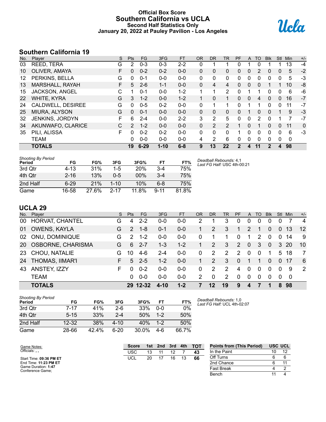### **Official Box Score Southern California vs UCLA Second Half Statistics Only January 20, 2022 at Pauley Pavilion - Los Angeles**



# **Southern California 19**

| No. | Player                | S  | <b>Pts</b> | <b>FG</b> | 3FG      | <b>FT</b> | <b>OR</b>    | <b>DR</b>    | TR       | <b>PF</b>    | A        | TO | <b>Blk</b> | <b>Stl</b>     | Min | $+/-$ |
|-----|-----------------------|----|------------|-----------|----------|-----------|--------------|--------------|----------|--------------|----------|----|------------|----------------|-----|-------|
| 03  | REED, TERA            | G  | 2          | $0 - 3$   | $0 - 3$  | $2 - 2$   | 0            |              |          | $\Omega$     |          | 0  |            |                | 13  | $-4$  |
| 10  | OLIVER, AMAYA         | F. | 0          | $0 - 2$   | $0 - 2$  | $0 - 0$   | $\Omega$     | 0            | 0        | $\mathbf{0}$ | 0        | 2  | 0          | $\overline{0}$ | 5   | $-2$  |
| 12  | PERKINS, BELLA        | G  | 0          | $0 - 1$   | $0 - 0$  | $0-0$     | $\mathbf{0}$ | $\mathbf{0}$ | 0        | 0            | 0        | 0  | 0          | 0              | 5   | $-3$  |
| 13  | MARSHALL, RAYAH       | F. | 5          | $2 - 6$   | $1 - 1$  | $0 - 0$   | $\Omega$     | 4            | 4        | $\Omega$     | 0        | 0  |            |                | 10  | -8    |
| 15  | <b>JACKSON, ANGEL</b> | С  |            | $0 - 1$   | $0 - 0$  | $1 - 2$   | 1            | 1            | 2        | $\Omega$     |          |    | 0          | 0              | 6   | -6    |
| 22  | <b>WHITE, KYRA</b>    | G  | 3          | $1 - 2$   | $0 - 0$  | $1 - 2$   |              | 0            | 1        | 0            | $\Omega$ | 4  | 0          | $\overline{0}$ | 16  | $-7$  |
| 24  | CALDWELL, DESIREE     | G  | 0          | $0 - 5$   | $0 - 2$  | $0 - 0$   | $\mathbf{0}$ |              | 1        | 0            |          |    | 0          | 0              | 11  | $-7$  |
| 25  | MIURA, ALYSON         | G  | $\Omega$   | $0 - 1$   | $0 - 0$  | $0 - 0$   | $\Omega$     | $\Omega$     | $\Omega$ | $\Omega$     |          | 0  | 0          |                | 9   | $-3$  |
| 32  | JENKINS, JORDYN       | F  | 6          | $2 - 4$   | $0 - 0$  | $2 - 2$   | 3            | 2            | 5        | 0            | 0        | 2  | 0          |                |     | $-7$  |
| 34  | AKUNWAFO, CLARICE     | С  | 2          | $1 - 2$   | $0 - 0$  | $0 - 0$   | $\mathbf{0}$ | 2            | 2        |              | 0        |    | $\Omega$   | $\Omega$       | 11  | 0     |
| 35  | PILI, ALISSA          | F  | 0          | $0 - 2$   | $0 - 2$  | $0 - 0$   | $\Omega$     | $\Omega$     | 0        | 1            | 0        | 0  | 0          | 0              | 6   | $-3$  |
|     | <b>TEAM</b>           |    | 0          | $0 - 0$   | $0 - 0$  | $0 - 0$   | 4            | 2            | 6        | $\mathbf{0}$ | 0        | 0  | 0          | $\Omega$       | 0   |       |
|     | <b>TOTALS</b>         |    | 19         | $6 - 29$  | $1 - 10$ | $6 - 8$   | 9            | 13           | 22       | $\mathbf 2$  | 4        | 11 | 2          | 4              | 98  |       |

| <b>Shooting By Period</b><br>Period | FG       | FG%   | 3FG      | 3FG%   | FT       | FT%   |
|-------------------------------------|----------|-------|----------|--------|----------|-------|
| 3rd Qtr                             | $4 - 13$ | 31%   | 1-5      | 20%    | $3-4$    | 75%   |
| 4th Qtr                             | $2 - 16$ | 13%   | $0 - 5$  | $00\%$ | $3 - 4$  | 75%   |
| 2nd Half                            | $6-29$   | 21%   | $1 - 10$ | 10%    | 6-8      | 75%   |
| Game                                | 16-58    | 27.6% | $2 - 17$ | 11.8%  | $9 - 11$ | 81.8% |

*Deadball Rebounds:* 4,1 *Last FG Half:* USC 4th-00:21

# **UCLA 29**

|    | No. Player           | S. | Pts            | FG       | 3FG     | FT      | <b>OR</b> | D <sub>R</sub> | TR.           | <b>PF</b> |              | A TO     | <b>BIK</b>     | Stl          | Min. | $+/-$          |
|----|----------------------|----|----------------|----------|---------|---------|-----------|----------------|---------------|-----------|--------------|----------|----------------|--------------|------|----------------|
| 00 | HORVAT, CHANTEL      | G  | 4              | $2 - 2$  | $0-0$   | $0-0$   | 2         |                | 3             | 0         | 0            | $\Omega$ | 0              |              |      | $\overline{4}$ |
| 01 | OWENS, KAYLA         | G  | $\overline{2}$ | $1 - 8$  | $0 - 1$ | $0 - 0$ |           | 2              | 3             | 1         | 2            |          | $\Omega$       | $\mathbf{0}$ | -13  | 12             |
| 02 | ONU, DOMINIQUE       | G  | 2              | $1 - 2$  | $0 - 0$ | $0-0$   | 0         |                |               | $\Omega$  | 1.           | 2        | $\mathbf 0$    | 0            | 14   | 9              |
|    | 20 OSBORNE, CHARISMA | G  | 6              | $2 - 7$  | 1-3     | $1 - 2$ |           | 2              | 3             | 2         | $\mathbf{0}$ | 3        | $\overline{0}$ |              | 3 20 | 10             |
| 23 | CHOU, NATALIE        | G  | 10             | $4-6$    | $2 - 4$ | $0 - 0$ | $\Omega$  | 2              | 2             | 2         | $\Omega$     | $\Omega$ | 1              | 5            | 18   | 7              |
|    | 24 THOMAS, IIMAR'I   | F. | 5              | $2 - 5$  | $1 - 2$ | $0 - 0$ | 1         | 2              | 3             | $\Omega$  | $\mathbf 1$  | 1        | $\Omega$       | $\Omega$     | -17  | - 6            |
| 43 | ANSTEY, IZZY         | F. | 0              | $0 - 2$  | $0 - 0$ | $0 - 0$ | 0         | 2              | $\mathcal{P}$ | 4         | $\Omega$     | $\Omega$ | $\Omega$       | 0            | 9    | 2              |
|    | <b>TEAM</b>          |    | 0              | $0 - 0$  | $0 - 0$ | $0 - 0$ | 2         | $\Omega$       | 2             | $\Omega$  | $\Omega$     | $\Omega$ | $\Omega$       | 0            | - 0  |                |
|    | <b>TOTALS</b>        |    |                | 29 12-32 | 4-10    | $1 - 2$ |           | 12             | 19            | 9         | 4            |          | 1              |              | 898  |                |

| <b>Shooting By Period</b><br>Period | FG        | FG%   | 3FG      | 3FG%  | FT      | FT%   |
|-------------------------------------|-----------|-------|----------|-------|---------|-------|
| 3rd Otr                             | $7 - 17$  | 41%   | $2-6$    | 33%   | $0 - 0$ | $0\%$ |
| 4th Qtr                             | $5 - 15$  | 33%   | $2 - 4$  | 50%   | $1 - 2$ | 50%   |
| 2nd Half                            | $12 - 32$ | 38%   | $4 - 10$ | 40%   | $1 - 2$ | 50%   |
| Game                                | 28-66     | 42.4% | $6-20$   | 30.0% | 4-6     | 66.7% |

*Deadball Rebounds:* 1,0 *Last FG Half:* UCL 4th-02:07

| Game Notes:                             | <b>Score</b> | 1st | 2nd | 3rd | 4th | <b>TOT</b> | <b>Points from (This Period)</b> | <b>USC UCL</b> |
|-----------------------------------------|--------------|-----|-----|-----|-----|------------|----------------------------------|----------------|
| Officials:                              | USC          |     |     |     |     | 43         | In the Paint                     |                |
| Start Time: 09:36 PM ET                 | UCL          | 20  |     | 16  |     | 66         | Off Turns                        |                |
| End Time: 11:23 PM ET                   |              |     |     |     |     |            | 2nd Chance                       |                |
| Game Duration: 1:47<br>Conference Game; |              |     |     |     |     |            | <b>Fast Break</b>                |                |
|                                         |              |     |     |     |     |            | Bench                            |                |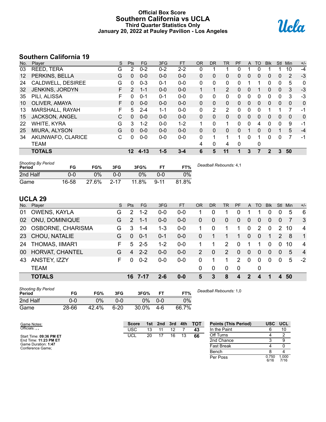#### **Official Box Score Southern California vs UCLA Third Quarter Statistics Only January 20, 2022 at Pauley Pavilion - Los Angeles**



# **Southern California 19**

| No. | Player                | S  | <b>Pts</b>   | <b>FG</b> | 3FG     | <b>FT</b> | 0R           | <b>DR</b>    | <b>TR</b> | <b>PF</b> | A        | TO | <b>BIK</b> | <b>Stl</b>   | Min            | $+/-$ |
|-----|-----------------------|----|--------------|-----------|---------|-----------|--------------|--------------|-----------|-----------|----------|----|------------|--------------|----------------|-------|
| 03  | REED, TERA            | G  | 2            | $0 - 2$   | $0 - 2$ | $2 - 2$   | 0            |              |           | 0         |          |    |            |              | 10             | $-4$  |
| 12  | PERKINS, BELLA        | G  | $\mathbf{0}$ | $0 - 0$   | $0 - 0$ | $0 - 0$   | 0            | 0            | 0         | 0         | 0        | 0  | 0          | $\mathbf{0}$ | 2              | -3    |
| 24  | CALDWELL, DESIREE     | G  | $\mathbf{0}$ | $0 - 3$   | $0 - 1$ | $0 - 0$   | 0            | 0            | 0         | 0         |          |    | 0          | 0            | 5              | 0     |
| 32  | JENKINS, JORDYN       | F. | 2            | $1 - 1$   | $0 - 0$ | $0 - 0$   | 1            |              | 2         | 0         | $\Omega$ |    | 0          | $\Omega$     | 3              | $-3$  |
| 35  | PILI, ALISSA          | F  | 0            | $0 - 1$   | $0 - 1$ | $0 - 0$   | 0            | $\Omega$     | 0         | 0         | 0        | 0  | 0          | $\Omega$     | 3              | $-3$  |
| 10  | OLIVER, AMAYA         | F  | $\mathbf{0}$ | $0 - 0$   | $0 - 0$ | $0 - 0$   | $\mathbf{0}$ | $\mathbf{0}$ | 0         | 0         | $\Omega$ | 0  | 0          | $\mathbf{0}$ | $\mathbf{0}$   | 0     |
| 13  | MARSHALL, RAYAH       | F  | 5            | $2 - 4$   | $1 - 1$ | $0 - 0$   | 0            | 2            | 2         | 0         | 0        | 0  | 1          |              | $\overline{7}$ | -1    |
| 15  | <b>JACKSON, ANGEL</b> | C  | $\Omega$     | $0 - 0$   | $0 - 0$ | $0 - 0$   | $\mathbf{0}$ | $\Omega$     | 0         | $\Omega$  | 0        | 0  | 0          | $\Omega$     | $\Omega$       | 0     |
| 22  | WHITE, KYRA           | G  | 3            | $1 - 2$   | $0 - 0$ | $1 - 2$   |              | $\Omega$     |           | 0         | $\Omega$ | 4  | 0          | $\Omega$     | 9              | -1    |
| 25  | <b>MIURA, ALYSON</b>  | G  | $\Omega$     | $0 - 0$   | $0 - 0$ | $0 - 0$   | $\Omega$     | $\Omega$     | 0         | $\Omega$  |          | 0  | $\Omega$   |              | 5              | $-4$  |
| 34  | AKUNWAFO, CLARICE     | C  | 0            | $0 - 0$   | $0-0$   | $0 - 0$   | 0            | 1            | 1         | 1         | 0        |    | 0          | $\Omega$     | 7              | -1    |
|     | <b>TEAM</b>           |    |              |           |         |           | 4            | 0            | 4         | 0         |          | 0  |            |              |                |       |
|     | <b>TOTALS</b>         |    | 12           | $4 - 13$  | 1-5     | $3 - 4$   | 6            | 5            | 11        |           | 3        |    | 2          | 3            | 50             |       |

| Shooting By Period<br><b>Period</b> | FG    | FG%   | 3FG      | 3FG%  | FT       | FT%   | Deadball Rebounds: 4,1 |
|-------------------------------------|-------|-------|----------|-------|----------|-------|------------------------|
| 2nd Half                            | 0-0   | 0%    | ი-ი      | 0%    | ი-ი      | $0\%$ |                        |
| Game                                | 16-58 | 27.6% | $2 - 17$ | 11.8% | $9 - 11$ | 81.8% |                        |

# **UCLA 29**

|           | <b>TOTALS</b>            |    |               | 16 7-17   | $2 - 6$ | $0 - 0$   | 5         | 3            | 8              | 4         | 2              | 4  |            | 4              | 50  |                |
|-----------|--------------------------|----|---------------|-----------|---------|-----------|-----------|--------------|----------------|-----------|----------------|----|------------|----------------|-----|----------------|
|           | <b>TEAM</b>              |    |               |           |         |           | 0         | 0            | 0              | 0         |                | 0  |            |                |     |                |
| 43        | ANSTEY, IZZY             | F  | $\Omega$      | $0 - 2$   | $0 - 0$ | $0-0$     | 0         | 1            | 1              | 2         | $\overline{0}$ | 0  | $\Omega$   | $\Omega$       | 5   | $-2$           |
| 00        | HORVAT, CHANTEL          | G  | 4             | $2 - 2$   | $0 - 0$ | $0-0$     | 2         | $\Omega$     | $\overline{2}$ | 0         | $\Omega$       | 0  | $\Omega$   | $\Omega$       | 5   | $\overline{4}$ |
| 24        | THOMAS, IIMAR'I          | F. | 5             | $2 - 5$   | $1 - 2$ | $0-0$     |           |              | $\mathcal{P}$  | $\Omega$  |                |    | $\Omega$   | $\Omega$       | 10  | $\overline{4}$ |
|           | 23 CHOU, NATALIE         | G  | $\Omega$      | $0 - 1$   | $0 - 1$ | $0 - 0$   | 0         |              | 1              | 1         | $\overline{0}$ | 0  | 1          | 2              | 8   | $\overline{1}$ |
| <b>20</b> | <b>OSBORNE, CHARISMA</b> | G  | 3             | $1 - 4$   | $1 - 3$ | $0 - 0$   |           | $\Omega$     | 1              | 1         | $\mathbf 0$    | 2  | $\Omega$   | 2              | 10  | 4              |
| 02        | <b>ONU, DOMINIQUE</b>    | G  | $\mathcal{P}$ | $1 - 1$   | $0 - 0$ | $0 - 0$   | 0         | $\mathbf{0}$ | $\mathbf{0}$   | $\Omega$  | $\mathbf{0}$   | 0  | $\Omega$   | $\overline{0}$ |     | -3             |
| 01        | OWENS, KAYLA             | G  | 2             | $1 - 2$   | $0 - 0$ | 0-0       |           | 0            |                | Ω         |                |    | 0          | O              | 5   | 6              |
|           | No. Player               | S. | <b>Pts</b>    | <b>FG</b> | 3FG     | <b>FT</b> | <b>OR</b> | DR.          | TR             | <b>PF</b> | $\mathsf{A}$   | TO | <b>BIK</b> | Stl            | Min | $+/-$          |

| <b>Shooting By Period</b><br>Period | FG    | FG%   | 3FG      | 3FG%  | ET  | FT%   | Deadball Rebounds: 1,0 |
|-------------------------------------|-------|-------|----------|-------|-----|-------|------------------------|
| 2nd Half                            | 0-0   | 0%    | 0-0      | 0%    | 0-0 | 0%    |                        |
| Game                                | 28-66 | 42.4% | $6 - 20$ | 30.0% | 4-6 | 66.7% |                        |

| Game Notes:                             | <b>Score</b> | 1st. | 2nd | 3rd | 4th | <b>TOT</b> | <b>Points (This Period)</b> | <b>USC</b>    | <b>UCL</b>    |
|-----------------------------------------|--------------|------|-----|-----|-----|------------|-----------------------------|---------------|---------------|
| Officials:                              | USC          | 13   |     | 12  |     | 43         | In the Paint                |               |               |
| Start Time: 09:36 PM ET                 | <b>UCL</b>   | 20   |     | 16  |     | 66         | Off Turns                   |               |               |
| End Time: 11:23 PM ET                   |              |      |     |     |     |            | 2nd Chance                  |               | 9             |
| Game Duration: 1:47<br>Conference Game: |              |      |     |     |     |            | Fast Break                  |               |               |
|                                         |              |      |     |     |     |            | Bench                       |               |               |
|                                         |              |      |     |     |     |            | Per Poss                    | 0.750<br>6/16 | 000.1<br>7/16 |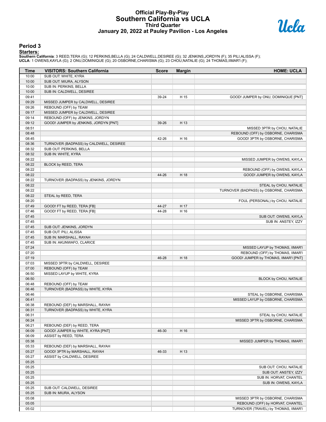#### **Official Play-By-Play Southern California vs UCLA Third Quarter January 20, 2022 at Pauley Pavilion - Los Angeles**



#### **Period 3**

<mark>Starters :</mark><br>Southern California: 3 REED,TERA (G); 12 PERKINS,BELLA (G); 24 CALDWELL,DESIREE (G); 32 JENKINS,JORDYN (F); 35 PILI,ALISSA (F);<br>UCLA: 1 OWENS,KAYLA (G); 2 ONU,DOMINIQUE (G); 20 OSBORNE,CHARISMA (G); 23 CHOU,NA

| Time           | <b>VISITORS: Southern California</b>                                   | <b>Score</b> | <b>Margin</b> | <b>HOME: UCLA</b>                       |
|----------------|------------------------------------------------------------------------|--------------|---------------|-----------------------------------------|
| 10:00          | SUB OUT: WHITE, KYRA                                                   |              |               |                                         |
| 10:00          | SUB OUT: MIURA, ALYSON                                                 |              |               |                                         |
| 10:00          | SUB IN: PERKINS, BELLA                                                 |              |               |                                         |
| 10:00          | SUB IN: CALDWELL, DESIREE                                              |              |               |                                         |
| 09:41          |                                                                        | 39-24        | H 15          | GOOD! JUMPER by ONU, DOMINIQUE [PNT]    |
| 09:29          | MISSED JUMPER by CALDWELL, DESIREE                                     |              |               |                                         |
| 09:26          | REBOUND (OFF) by TEAM                                                  |              |               |                                         |
| 09:17<br>09:14 | MISSED JUMPER by CALDWELL, DESIREE<br>REBOUND (OFF) by JENKINS, JORDYN |              |               |                                         |
| 09:12          | GOOD! JUMPER by JENKINS, JORDYN [PNT]                                  | 39-26        | H 13          |                                         |
| 08:51          |                                                                        |              |               | MISSED 3PTR by CHOU, NATALIE            |
| 08:48          |                                                                        |              |               | REBOUND (OFF) by OSBORNE, CHARISMA      |
| 08:45          |                                                                        | 42-26        | H 16          | GOOD! 3PTR by OSBORNE, CHARISMA         |
| 08:36          | TURNOVER (BADPASS) by CALDWELL, DESIREE                                |              |               |                                         |
| 08:32          | SUB OUT: PERKINS, BELLA                                                |              |               |                                         |
| 08:32          | SUB IN: WHITE, KYRA                                                    |              |               |                                         |
| 08:22          |                                                                        |              |               | MISSED JUMPER by OWENS, KAYLA           |
| 08:22          | BLOCK by REED, TERA                                                    |              |               |                                         |
| 08:22          |                                                                        |              |               | REBOUND (OFF) by OWENS, KAYLA           |
| 08:22          |                                                                        | 44-26        | H 18          | GOOD! JUMPER by OWENS, KAYLA            |
| 08:22          | TURNOVER (BADPASS) by JENKINS, JORDYN                                  |              |               |                                         |
| 08:22          |                                                                        |              |               | STEAL by CHOU, NATALIE                  |
| 08:22<br>08:22 |                                                                        |              |               | TURNOVER (BADPASS) by OSBORNE, CHARISMA |
| 08:20          | STEAL by REED, TERA                                                    |              |               | FOUL (PERSONAL) by CHOU, NATALIE        |
| 07:49          | GOOD! FT by REED, TERA [FB]                                            | 44-27        | H 17          |                                         |
| 07:46          | GOOD! FT by REED, TERA [FB]                                            | 44-28        | H 16          |                                         |
| 07:45          |                                                                        |              |               | SUB OUT: OWENS, KAYLA                   |
| 07:45          |                                                                        |              |               | SUB IN: ANSTEY, IZZY                    |
| 07:45          | SUB OUT: JENKINS, JORDYN                                               |              |               |                                         |
| 07:45          | SUB OUT: PILI, ALISSA                                                  |              |               |                                         |
| 07:45          | SUB IN: MARSHALL, RAYAH                                                |              |               |                                         |
| 07:45          | SUB IN: AKUNWAFO, CLARICE                                              |              |               |                                         |
| 07:24          |                                                                        |              |               | MISSED LAYUP by THOMAS, IIMAR'I         |
| 07:20          |                                                                        |              |               | REBOUND (OFF) by THOMAS, IIMAR'I        |
| 07:19          |                                                                        | 46-28        | H 18          | GOOD! JUMPER by THOMAS, IIMAR'I [PNT]   |
| 07:03          | MISSED 3PTR by CALDWELL, DESIREE                                       |              |               |                                         |
| 07:00<br>06:50 | REBOUND (OFF) by TEAM<br>MISSED LAYUP by WHITE, KYRA                   |              |               |                                         |
| 06:50          |                                                                        |              |               | BLOCK by CHOU, NATALIE                  |
| 06:48          | REBOUND (OFF) by TEAM                                                  |              |               |                                         |
| 06:46          | TURNOVER (BADPASS) by WHITE, KYRA                                      |              |               |                                         |
| 06:46          |                                                                        |              |               | STEAL by OSBORNE, CHARISMA              |
| 06:41          |                                                                        |              |               | MISSED LAYUP by OSBORNE, CHARISMA       |
| 06:38          | REBOUND (DEF) by MARSHALL, RAYAH                                       |              |               |                                         |
| 06:31          | TURNOVER (BADPASS) by WHITE, KYRA                                      |              |               |                                         |
| 06:31          |                                                                        |              |               | STEAL by CHOU, NATALIE                  |
| 06:24          |                                                                        |              |               | MISSED 3PTR by OSBORNE, CHARISMA        |
| 06:21          | REBOUND (DEF) by REED, TERA                                            |              |               |                                         |
| 06:09          | GOOD! JUMPER by WHITE, KYRA [PNT]                                      | 46-30        | H 16          |                                         |
| 06:09          | ASSIST by REED, TERA                                                   |              |               |                                         |
| 05:38          |                                                                        |              |               | MISSED JUMPER by THOMAS, IIMAR'I        |
| 05:33          | REBOUND (DEF) by MARSHALL, RAYAH                                       |              |               |                                         |
| 05:27<br>05:27 | GOOD! 3PTR by MARSHALL, RAYAH<br>ASSIST by CALDWELL, DESIREE           | 46-33        | H 13          |                                         |
| 05:25          |                                                                        |              |               |                                         |
| 05:25          |                                                                        |              |               | SUB OUT: CHOU, NATALIE                  |
| 05:25          |                                                                        |              |               | SUB OUT: ANSTEY, IZZY                   |
| 05:25          |                                                                        |              |               | SUB IN: HORVAT, CHANTEL                 |
| 05:25          |                                                                        |              |               | SUB IN: OWENS, KAYLA                    |
| 05:25          | SUB OUT: CALDWELL, DESIREE                                             |              |               |                                         |
| 05:25          | SUB IN: MIURA, ALYSON                                                  |              |               |                                         |
| 05:08          |                                                                        |              |               | MISSED 3PTR by OSBORNE, CHARISMA        |
| 05:05          |                                                                        |              |               | REBOUND (OFF) by HORVAT, CHANTEL        |
| 05:02          |                                                                        |              |               | TURNOVER (TRAVEL) by THOMAS, IIMAR'I    |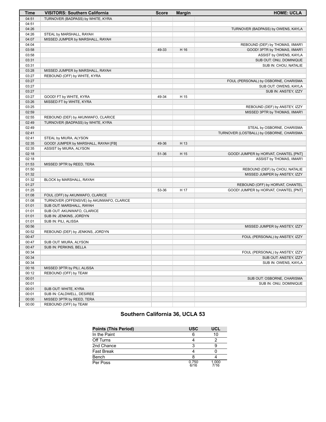| <b>Time</b> | <b>VISITORS: Southern California</b>      | <b>Score</b> | <b>Margin</b> | <b>HOME: UCLA</b>                        |
|-------------|-------------------------------------------|--------------|---------------|------------------------------------------|
| 04:51       | TURNOVER (BADPASS) by WHITE, KYRA         |              |               |                                          |
| 04:51       |                                           |              |               |                                          |
| 04:26       |                                           |              |               | TURNOVER (BADPASS) by OWENS, KAYLA       |
| 04:26       | STEAL by MARSHALL, RAYAH                  |              |               |                                          |
| 04:07       | MISSED JUMPER by MARSHALL, RAYAH          |              |               |                                          |
| 04:04       |                                           |              |               | REBOUND (DEF) by THOMAS, IIMAR'I         |
| 03:58       |                                           | 49-33        | H 16          | GOOD! 3PTR by THOMAS, IIMAR'I            |
| 03:58       |                                           |              |               | ASSIST by OWENS, KAYLA                   |
| 03:31       |                                           |              |               | SUB OUT: ONU, DOMINIQUE                  |
| 03:31       |                                           |              |               | SUB IN: CHOU, NATALIE                    |
| 03:28       | MISSED JUMPER by MARSHALL, RAYAH          |              |               |                                          |
| 03:27       | REBOUND (OFF) by WHITE, KYRA              |              |               |                                          |
| 03:27       |                                           |              |               | FOUL (PERSONAL) by OSBORNE, CHARISMA     |
| 03:27       |                                           |              |               | SUB OUT: OWENS, KAYLA                    |
| 03:27       |                                           |              |               | SUB IN: ANSTEY, IZZY                     |
| 03:27       | GOOD! FT by WHITE, KYRA                   | 49-34        | H 15          |                                          |
| 03:26       | MISSED FT by WHITE, KYRA                  |              |               |                                          |
| 03:25       |                                           |              |               | REBOUND (DEF) by ANSTEY, IZZY            |
| 02:59       |                                           |              |               | MISSED 3PTR by THOMAS, IIMAR'I           |
| 02:55       | REBOUND (DEF) by AKUNWAFO, CLARICE        |              |               |                                          |
| 02:49       | TURNOVER (BADPASS) by WHITE, KYRA         |              |               |                                          |
| 02:49       |                                           |              |               | STEAL by OSBORNE, CHARISMA               |
| 02:41       |                                           |              |               | TURNOVER (LOSTBALL) by OSBORNE, CHARISMA |
| 02:41       | STEAL by MIURA, ALYSON                    |              |               |                                          |
| 02:35       | GOOD! JUMPER by MARSHALL, RAYAH [FB]      | 49-36        | H 13          |                                          |
| 02:35       | ASSIST by MIURA, ALYSON                   |              |               |                                          |
| 02:18       |                                           | 51-36        | H 15          | GOOD! JUMPER by HORVAT, CHANTEL [PNT]    |
| 02:18       |                                           |              |               | ASSIST by THOMAS, IIMAR'I                |
| 01:53       | MISSED 3PTR by REED, TERA                 |              |               |                                          |
| 01:50       |                                           |              |               | REBOUND (DEF) by CHOU, NATALIE           |
| 01:32       |                                           |              |               | MISSED JUMPER by ANSTEY, IZZY            |
| 01:32       | BLOCK by MARSHALL, RAYAH                  |              |               |                                          |
| 01:27       |                                           |              |               | REBOUND (OFF) by HORVAT, CHANTEL         |
| 01:25       |                                           | 53-36        | H 17          | GOOD! JUMPER by HORVAT, CHANTEL [PNT]    |
| 01:08       | FOUL (OFF) by AKUNWAFO, CLARICE           |              |               |                                          |
| 01:08       | TURNOVER (OFFENSIVE) by AKUNWAFO, CLARICE |              |               |                                          |
| 01:01       | SUB OUT: MARSHALL, RAYAH                  |              |               |                                          |
| 01:01       | SUB OUT: AKUNWAFO, CLARICE                |              |               |                                          |
| 01:01       | SUB IN: JENKINS, JORDYN                   |              |               |                                          |
| 01:01       | SUB IN: PILI, ALISSA                      |              |               |                                          |
| 00:56       |                                           |              |               | MISSED JUMPER by ANSTEY, IZZY            |
| 00:52       | REBOUND (DEF) by JENKINS, JORDYN          |              |               |                                          |
| 00:47       |                                           |              |               | FOUL (PERSONAL) by ANSTEY, IZZY          |
| 00:47       | SUB OUT: MIURA, ALYSON                    |              |               |                                          |
| 00:47       | SUB IN: PERKINS, BELLA                    |              |               |                                          |
| 00:34       |                                           |              |               | FOUL (PERSONAL) by ANSTEY, IZZY          |
| 00:34       |                                           |              |               | SUB OUT: ANSTEY, IZZY                    |
| 00:34       |                                           |              |               | SUB IN: OWENS, KAYLA                     |
| 00:16       | MISSED 3PTR by PILI, ALISSA               |              |               |                                          |
| 00:12       | REBOUND (OFF) by TEAM                     |              |               |                                          |
| 00:01       |                                           |              |               | SUB OUT: OSBORNE, CHARISMA               |
| 00:01       |                                           |              |               | SUB IN: ONU, DOMINIQUE                   |
| 00:01       | SUB OUT: WHITE, KYRA                      |              |               |                                          |
| 00:01       | SUB IN: CALDWELL, DESIREE                 |              |               |                                          |
| 00:00       | MISSED 3PTR by REED, TERA                 |              |               |                                          |
| 00:00       | REBOUND (OFF) by TEAM                     |              |               |                                          |

# **Southern California 36, UCLA 53**

| <b>Points (This Period)</b> | <b>USC</b>    | UCL           |
|-----------------------------|---------------|---------------|
| In the Paint                | 6             | 10            |
| Off Turns                   |               |               |
| 2nd Chance                  | ว             |               |
| <b>Fast Break</b>           |               |               |
| Bench                       |               |               |
| Per Poss                    | 0.750<br>6/16 | 1.000<br>7/16 |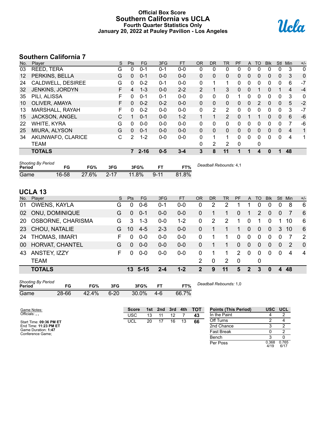#### **Official Box Score Southern California vs UCLA Fourth Quarter Statistics Only January 20, 2022 at Pauley Pavilion - Los Angeles**



# **Southern California 7**

| No.               | Plaver             | S | <b>Pts</b>     | <b>FG</b> | 3FG     | <b>FT</b> | <b>OR</b>      | <b>DR</b>    | TR             | PF       | A            | TO | <b>BIK</b> | <b>Stl</b>   | Min            | $+/-$ |
|-------------------|--------------------|---|----------------|-----------|---------|-----------|----------------|--------------|----------------|----------|--------------|----|------------|--------------|----------------|-------|
| 03                | REED, TERA         | G | 0              | $0 - 1$   | $0 - 1$ | $0 - 0$   | 0              | 0            | 0              | 0        | $\Omega$     | 0  | 0          | 0            | 3              | 0     |
| $12 \overline{ }$ | PERKINS, BELLA     | G | 0              | $0 - 1$   | $0 - 0$ | $0 - 0$   | 0              | $\mathbf{0}$ | 0              | 0        | $\Omega$     | 0  | 0          | $\mathbf{0}$ | 3              | 0     |
| 24                | CALDWELL, DESIREE  | G | 0              | $0 - 2$   | $0 - 1$ | $0 - 0$   | 0              |              | 1              | 0        | $\mathbf{0}$ | 0  | 0          | $\mathbf 0$  | 6              | $-7$  |
| 32                | JENKINS, JORDYN    | F | 4              | $1 - 3$   | $0 - 0$ | $2 - 2$   | $\overline{2}$ |              | 3              | 0        | $\mathbf{0}$ |    | 0          |              | 4              | $-4$  |
| 35                | PILI, ALISSA       | F | 0              | $0 - 1$   | $0 - 1$ | $0 - 0$   | $\Omega$       | $\Omega$     | 0              |          | $\Omega$     | 0  | 0          | 0            | 3              | 0     |
| 10                | OLIVER, AMAYA      | F | 0              | $0 - 2$   | $0 - 2$ | $0 - 0$   | $\Omega$       | $\Omega$     | 0              | $\Omega$ | $\Omega$     | 2  | $\Omega$   | $\mathbf{0}$ | 5              | $-2$  |
| 13                | MARSHALL, RAYAH    | F | 0              | $0 - 2$   | $0 - 0$ | $0 - 0$   | 0              | 2            | 2              | 0        | $\Omega$     | 0  | 0          | $\Omega$     | 3              | $-7$  |
| 15                | JACKSON, ANGEL     | C |                | $0 - 1$   | $0 - 0$ | $1 - 2$   |                |              | $\overline{2}$ | 0        |              |    | 0          | $\mathbf{0}$ | 6              | $-6$  |
| 22                | <b>WHITE, KYRA</b> | G | 0              | $0 - 0$   | $0 - 0$ | $0 - 0$   | 0              | 0            | 0              | 0        | $\Omega$     | 0  | 0          | $\Omega$     | 7              | -6    |
| 25                | MIURA, ALYSON      | G | 0              | $0 - 1$   | $0 - 0$ | $0 - 0$   | $\Omega$       | $\Omega$     | 0              | $\Omega$ | $\Omega$     | 0  | 0          | $\Omega$     | $\overline{4}$ | 1     |
| 34                | AKUNWAFO, CLARICE  | С | $\overline{2}$ | $1 - 2$   | $0 - 0$ | $0 - 0$   | $\Omega$       |              | 1              | 0        | $\Omega$     | 0  | 0          | $\mathbf 0$  | 4              | 1     |
|                   | TEAM               |   |                |           |         |           | $\Omega$       | 2            | 2              | 0        |              | 0  |            |              |                |       |
|                   | <b>TOTALS</b>      |   | 7              | $2 - 16$  | $0 - 5$ | $3 - 4$   | 3              | 8            | 11             |          |              | 4  | 0          |              | 48             |       |

| <b>Shooting By Period</b><br>Period | FG    | FG%   | 3FG      | 3FG%  | <b>FT</b> | FT%   | Deadball Rebounds: 4,1 |
|-------------------------------------|-------|-------|----------|-------|-----------|-------|------------------------|
| Game                                | 16-58 | 27.6% | $2 - 17$ | 11.8% | $9 - 11$  | 81.8% |                        |

# **UCLA 13**

| No. | Player                   | S. | <b>Pts</b> | <b>FG</b>       | 3FG     | <b>FT</b> | <b>OR</b>      | DR | TR | <b>PF</b>     | $\mathsf{A}$   | TO       | <b>B</b> lk | Stl            | Min            | $+/-$          |
|-----|--------------------------|----|------------|-----------------|---------|-----------|----------------|----|----|---------------|----------------|----------|-------------|----------------|----------------|----------------|
| 01  | OWENS, KAYLA             | G  |            | $0 - 6$         | 0-1     | $0 - 0$   | 0              | 2  | 2  |               |                | 0        | 0           | 0              | 8              | 6              |
| 02  | ONU, DOMINIQUE           | G  | $\Omega$   | $0 - 1$         | $0 - 0$ | $0 - 0$   | $\Omega$       |    |    | 0             | 1              | 2        | $\Omega$    | $\overline{0}$ |                | - 6            |
| 20  | <b>OSBORNE, CHARISMA</b> | G  | 3          | $1 - 3$         | $0 - 0$ | $1 - 2$   | 0              | 2  | 2  | 1             | $\mathbf{0}$   |          | $\Omega$    |                | 10             | 6              |
| 23  | CHOU, NATALIE            | G. | 10         | $4 - 5$         | $2 - 3$ | $0 - 0$   | $\Omega$       |    |    | 1             | $\Omega$       | 0        | $\Omega$    | 3              | 10             | 6              |
| 24  | <b>THOMAS, IIMAR'I</b>   | F. | $\Omega$   | $0 - 0$         | $0 - 0$ | $0 - 0$   | 0              |    |    | $\Omega$      | $\Omega$       | $\Omega$ | $\Omega$    | $\mathbf 0$    |                | 2              |
| 00  | HORVAT, CHANTEL          | G  | $\Omega$   | $0 - 0$         | $0 - 0$ | $0 - 0$   | 0              |    | 1  | $\Omega$      | $\mathbf{0}$   | $\Omega$ | $\Omega$    | $\mathbf{0}$   | 2              | $\Omega$       |
| 43  | ANSTEY, IZZY             | F. |            | $0 - 0$         | $0 - 0$ | $0 - 0$   | $\Omega$       |    |    | $\mathcal{P}$ | $\Omega$       | $\Omega$ | $\Omega$    | $\mathbf{0}$   | $\overline{4}$ | $\overline{4}$ |
|     | <b>TEAM</b>              |    |            |                 |         |           | $\overline{2}$ | 0  | 2  | - 0           |                | 0        |             |                |                |                |
|     | <b>TOTALS</b>            |    |            | $13 \quad 5-15$ | 2-4     | $1 - 2$   | 2              | 9  | 11 | 5             | $\mathfrak{p}$ | 3        | $\bf{0}$    | $\mathbf{A}$   | 48             |                |

| <b>Shooting By Period</b><br>Period | FG    | FG%   | 3FG      | 3FG%  |     | FT%   |  |
|-------------------------------------|-------|-------|----------|-------|-----|-------|--|
| Game                                | 28-66 | 42.4% | $6 - 20$ | 30.0% | 4-6 | 66.7% |  |

*Deadball Rebounds:* 1,0

Per Poss

 $0.368$ <br> $4/19$ 

0.765 6/17

| Game Notes:                             | <b>Score</b> | 1st. | 2nd | 3rd | 4th | <b>TOT</b> | <b>Points (This Period)</b> | <b>USC</b> | <b>UCL</b> |
|-----------------------------------------|--------------|------|-----|-----|-----|------------|-----------------------------|------------|------------|
| Officials:,,                            | USC          | 13   |     |     |     | 43         | In the Paint                |            |            |
| Start Time: 09:36 PM ET                 | UCL          | 20   |     | 16  | 13  | 66         | Off Turns                   |            |            |
| End Time: 11:23 PM ET                   |              |      |     |     |     |            | 2nd Chance                  |            |            |
| Game Duration: 1:47<br>Conference Game: |              |      |     |     |     |            | <b>Fast Break</b>           |            |            |
|                                         |              |      |     |     |     |            | Bench                       |            |            |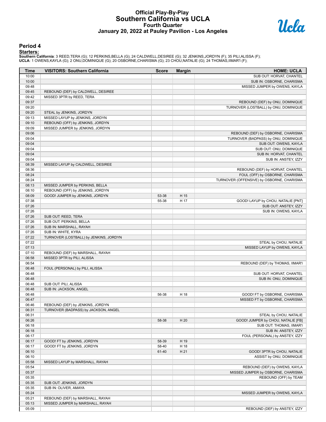#### **Official Play-By-Play Southern California vs UCLA Fourth Quarter January 20, 2022 at Pauley Pavilion - Los Angeles**



#### **Period 4**

<mark>Starters :</mark><br>Southern California: 3 REED,TERA (G); 12 PERKINS,BELLA (G); 24 CALDWELL,DESIREE (G); 32 JENKINS,JORDYN (F); 35 PILI,ALISSA (F);<br>UCLA: 1 OWENS,KAYLA (G); 2 ONU,DOMINIQUE (G); 20 OSBORNE,CHARISMA (G); 23 CHOU,NA

| <b>Time</b>    | <b>VISITORS: Southern California</b>   | <b>Score</b> | <b>Margin</b> | <b>HOME: UCLA</b>                                                   |
|----------------|----------------------------------------|--------------|---------------|---------------------------------------------------------------------|
| 10:00          |                                        |              |               | SUB OUT: HORVAT, CHANTEL                                            |
| 10:00          |                                        |              |               | SUB IN: OSBORNE, CHARISMA                                           |
| 09:48          |                                        |              |               | MISSED JUMPER by OWENS, KAYLA                                       |
| 09:45          | REBOUND (DEF) by CALDWELL, DESIREE     |              |               |                                                                     |
| 09:42          | MISSED 3PTR by REED, TERA              |              |               |                                                                     |
| 09:37          |                                        |              |               | REBOUND (DEF) by ONU, DOMINIQUE                                     |
| 09:20          |                                        |              |               | TURNOVER (LOSTBALL) by ONU, DOMINIQUE                               |
| 09:20          | STEAL by JENKINS, JORDYN               |              |               |                                                                     |
| 09:13          | MISSED LAYUP by JENKINS, JORDYN        |              |               |                                                                     |
| 09:10          | REBOUND (OFF) by JENKINS, JORDYN       |              |               |                                                                     |
| 09:09          | MISSED JUMPER by JENKINS, JORDYN       |              |               |                                                                     |
| 09:06          |                                        |              |               | REBOUND (DEF) by OSBORNE, CHARISMA                                  |
| 09:04          |                                        |              |               | TURNOVER (BADPASS) by ONU, DOMINIQUE                                |
| 09:04          |                                        |              |               | SUB OUT: OWENS, KAYLA                                               |
| 09:04          |                                        |              |               | SUB OUT: ONU, DOMINIQUE                                             |
| 09:04          |                                        |              |               | SUB IN: HORVAT, CHANTEL                                             |
| 09:04          |                                        |              |               | SUB IN: ANSTEY, IZZY                                                |
| 08:39          | MISSED LAYUP by CALDWELL, DESIREE      |              |               |                                                                     |
| 08:36<br>08:24 |                                        |              |               | REBOUND (DEF) by HORVAT, CHANTEL<br>FOUL (OFF) by OSBORNE, CHARISMA |
| 08:24          |                                        |              |               | TURNOVER (OFFENSIVE) by OSBORNE, CHARISMA                           |
| 08:13          | MISSED JUMPER by PERKINS, BELLA        |              |               |                                                                     |
| 08:10          | REBOUND (OFF) by JENKINS, JORDYN       |              |               |                                                                     |
| 08:09          | GOOD! JUMPER by JENKINS, JORDYN        | 53-38        | H 15          |                                                                     |
| 07:38          |                                        | 55-38        | H 17          | GOOD! LAYUP by CHOU, NATALIE [PNT]                                  |
| 07:26          |                                        |              |               | SUB OUT: ANSTEY, IZZY                                               |
| 07:26          |                                        |              |               | SUB IN: OWENS, KAYLA                                                |
| 07:26          | SUB OUT: REED, TERA                    |              |               |                                                                     |
| 07:26          | SUB OUT: PERKINS, BELLA                |              |               |                                                                     |
| 07:26          | SUB IN: MARSHALL, RAYAH                |              |               |                                                                     |
| 07:26          | SUB IN: WHITE, KYRA                    |              |               |                                                                     |
| 07:22          | TURNOVER (LOSTBALL) by JENKINS, JORDYN |              |               |                                                                     |
| 07:22          |                                        |              |               | STEAL by CHOU, NATALIE                                              |
| 07:13          |                                        |              |               | MISSED LAYUP by OWENS, KAYLA                                        |
| 07:10          | REBOUND (DEF) by MARSHALL, RAYAH       |              |               |                                                                     |
| 06:58          | MISSED 3PTR by PILI, ALISSA            |              |               |                                                                     |
| 06:54          |                                        |              |               | REBOUND (DEF) by THOMAS, IIMAR'I                                    |
| 06:48          | FOUL (PERSONAL) by PILI, ALISSA        |              |               |                                                                     |
| 06:48          |                                        |              |               | SUB OUT: HORVAT, CHANTEL                                            |
| 06:48          |                                        |              |               | SUB IN: ONU, DOMINIQUE                                              |
| 06:48          | SUB OUT: PILI, ALISSA                  |              |               |                                                                     |
| 06:48          | SUB IN: JACKSON, ANGEL                 |              |               |                                                                     |
| 06:48          |                                        | 56-38        | H 18          | GOOD! FT by OSBORNE, CHARISMA                                       |
| 06:47          |                                        |              |               | MISSED FT by OSBORNE, CHARISMA                                      |
| 06:46          | REBOUND (DEF) by JENKINS, JORDYN       |              |               |                                                                     |
| 06:31          | TURNOVER (BADPASS) by JACKSON, ANGEL   |              |               |                                                                     |
| 06:31          |                                        |              |               | STEAL by CHOU, NATALIE                                              |
| 06:26          |                                        | 58-38        | H 20          | GOOD! JUMPER by CHOU, NATALIE [FB]                                  |
| 06:18          |                                        |              |               | SUB OUT: THOMAS, IIMAR'I                                            |
| 06:18          |                                        |              |               | SUB IN: ANSTEY, IZZY                                                |
| 06:17          |                                        |              |               | FOUL (PERSONAL) by ANSTEY, IZZY                                     |
| 06:17          | GOOD! FT by JENKINS, JORDYN            | 58-39        | H 19          |                                                                     |
| 06:17          | GOOD! FT by JENKINS, JORDYN            | 58-40        | H 18          |                                                                     |
| 06:10          |                                        | 61-40        | H 21          | GOOD! 3PTR by CHOU, NATALIE                                         |
| 06:10          |                                        |              |               | ASSIST by ONU, DOMINIQUE                                            |
| 05:58          | MISSED LAYUP by MARSHALL, RAYAH        |              |               |                                                                     |
| 05:54          |                                        |              |               | REBOUND (DEF) by OWENS, KAYLA                                       |
| 05:37          |                                        |              |               | MISSED JUMPER by OSBORNE, CHARISMA                                  |
| 05:35          |                                        |              |               | REBOUND (OFF) by TEAM                                               |
| 05:35          | SUB OUT: JENKINS, JORDYN               |              |               |                                                                     |
| 05:35          | SUB IN: OLIVER, AMAYA                  |              |               |                                                                     |
| 05:24          |                                        |              |               | MISSED JUMPER by OWENS, KAYLA                                       |
| 05:21          | REBOUND (DEF) by MARSHALL, RAYAH       |              |               |                                                                     |
| 05:13          | MISSED JUMPER by MARSHALL, RAYAH       |              |               |                                                                     |
| 05:09          |                                        |              |               | REBOUND (DEF) by ANSTEY, IZZY                                       |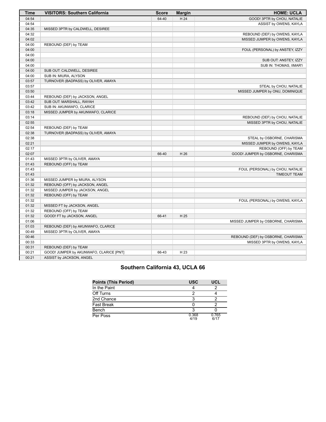| <b>Time</b> | <b>VISITORS: Southern California</b>    | <b>Score</b> | <b>Margin</b> | <b>HOME: UCLA</b>                  |
|-------------|-----------------------------------------|--------------|---------------|------------------------------------|
| 04:54       |                                         | 64-40        | H 24          | GOOD! 3PTR by CHOU, NATALIE        |
| 04:54       |                                         |              |               | ASSIST by OWENS, KAYLA             |
| 04:35       | MISSED 3PTR by CALDWELL, DESIREE        |              |               |                                    |
| 04:32       |                                         |              |               | REBOUND (DEF) by OWENS, KAYLA      |
| 04:02       |                                         |              |               | MISSED JUMPER by OWENS, KAYLA      |
| 04:00       | REBOUND (DEF) by TEAM                   |              |               |                                    |
| 04:00       |                                         |              |               | FOUL (PERSONAL) by ANSTEY, IZZY    |
| 04:00       |                                         |              |               |                                    |
| 04:00       |                                         |              |               | SUB OUT: ANSTEY, IZZY              |
| 04:00       |                                         |              |               | SUB IN: THOMAS, IIMAR'I            |
| 04:00       | SUB OUT: CALDWELL, DESIREE              |              |               |                                    |
| 04:00       | SUB IN: MIURA, ALYSON                   |              |               |                                    |
| 03:57       | TURNOVER (BADPASS) by OLIVER, AMAYA     |              |               |                                    |
| 03:57       |                                         |              |               | STEAL by CHOU, NATALIE             |
| 03:50       |                                         |              |               | MISSED JUMPER by ONU, DOMINIQUE    |
| 03:44       | REBOUND (DEF) by JACKSON, ANGEL         |              |               |                                    |
| 03:42       | SUB OUT: MARSHALL, RAYAH                |              |               |                                    |
| 03:42       | SUB IN: AKUNWAFO, CLARICE               |              |               |                                    |
| 03:18       | MISSED JUMPER by AKUNWAFO, CLARICE      |              |               |                                    |
| 03:14       |                                         |              |               | REBOUND (DEF) by CHOU, NATALIE     |
| 02:55       |                                         |              |               | MISSED 3PTR by CHOU, NATALIE       |
| 02:54       | REBOUND (DEF) by TEAM                   |              |               |                                    |
| 02:38       | TURNOVER (BADPASS) by OLIVER, AMAYA     |              |               |                                    |
| 02:38       |                                         |              |               | STEAL by OSBORNE, CHARISMA         |
| 02:21       |                                         |              |               | MISSED JUMPER by OWENS, KAYLA      |
| 02:17       |                                         |              |               | REBOUND (OFF) by TEAM              |
| 02:07       |                                         | 66-40        | H 26          | GOOD! JUMPER by OSBORNE, CHARISMA  |
| 01:43       | MISSED 3PTR by OLIVER, AMAYA            |              |               |                                    |
| 01:43       | REBOUND (OFF) by TEAM                   |              |               |                                    |
| 01:43       |                                         |              |               | FOUL (PERSONAL) by CHOU, NATALIE   |
| 01:43       |                                         |              |               | <b>TIMEOUT TEAM</b>                |
| 01:36       | MISSED JUMPER by MIURA, ALYSON          |              |               |                                    |
| 01:32       | REBOUND (OFF) by JACKSON, ANGEL         |              |               |                                    |
| 01:32       | MISSED JUMPER by JACKSON, ANGEL         |              |               |                                    |
| 01:32       | REBOUND (OFF) by TEAM                   |              |               |                                    |
| 01:32       |                                         |              |               | FOUL (PERSONAL) by OWENS, KAYLA    |
| 01:32       | MISSED FT by JACKSON, ANGEL             |              |               |                                    |
| 01:32       | REBOUND (OFF) by TEAM                   |              |               |                                    |
| 01:32       | GOOD! FT by JACKSON, ANGEL              | 66-41        | H 25          |                                    |
| 01:06       |                                         |              |               | MISSED JUMPER by OSBORNE, CHARISMA |
| 01:03       | REBOUND (DEF) by AKUNWAFO, CLARICE      |              |               |                                    |
| 00:49       | MISSED 3PTR by OLIVER, AMAYA            |              |               |                                    |
| 00:46       |                                         |              |               | REBOUND (DEF) by OSBORNE, CHARISMA |
| 00:33       |                                         |              |               | MISSED 3PTR by OWENS, KAYLA        |
| 00:31       | REBOUND (DEF) by TEAM                   |              |               |                                    |
| 00:21       | GOOD! JUMPER by AKUNWAFO, CLARICE [PNT] | 66-43        | H 23          |                                    |
| 00:21       | ASSIST by JACKSON, ANGEL                |              |               |                                    |

# **Southern California 43, UCLA 66**

| <b>Points (This Period)</b> | <b>USC</b>    | UCL           |
|-----------------------------|---------------|---------------|
| In the Paint                |               |               |
| Off Turns                   |               |               |
| 2nd Chance                  |               |               |
| <b>Fast Break</b>           |               |               |
| Bench                       |               |               |
| Per Poss                    | 0.368<br>4/19 | 0.765<br>6/17 |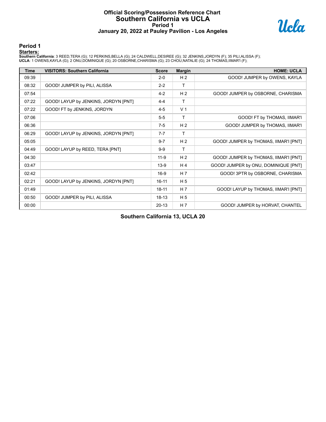### **Official Scoring/Possession Reference Chart Southern California vs UCLA Period 1 January 20, 2022 at Pauley Pavilion - Los Angeles**



**Period 1**

<mark>Starters :</mark><br>Southern California: 3 REED,TERA (G); 12 PERKINS,BELLA (G); 24 CALDWELL,DESIREE (G); 32 JENKINS,JORDYN (F); 35 PILI,ALISSA (F);<br>UCLA: 1 OWENS,KAYLA (G); 2 ONU,DOMINIQUE (G); 20 OSBORNE,CHARISMA (G); 23 CHOU,NA

| <b>Time</b> | <b>VISITORS: Southern California</b> | <b>Score</b> | <b>Margin</b>  | <b>HOME: UCLA</b>                     |
|-------------|--------------------------------------|--------------|----------------|---------------------------------------|
| 09:39       |                                      | $2 - 0$      | H <sub>2</sub> | GOOD! JUMPER by OWENS, KAYLA          |
| 08:32       | GOOD! JUMPER by PILI, ALISSA         | $2 - 2$      | $\mathsf{T}$   |                                       |
| 07:54       |                                      | $4 - 2$      | H <sub>2</sub> | GOOD! JUMPER by OSBORNE, CHARISMA     |
| 07:22       | GOOD! LAYUP by JENKINS, JORDYN [PNT] | $4 - 4$      | т              |                                       |
| 07:22       | GOOD! FT by JENKINS, JORDYN          | $4 - 5$      | V <sub>1</sub> |                                       |
| 07:06       |                                      | $5-5$        | т              | GOOD! FT by THOMAS, IIMAR'I           |
| 06:36       |                                      | $7-5$        | H <sub>2</sub> | GOOD! JUMPER by THOMAS, IIMAR'I       |
| 06:29       | GOOD! LAYUP by JENKINS, JORDYN [PNT] | $7 - 7$      | т              |                                       |
| 05:05       |                                      | $9 - 7$      | H <sub>2</sub> | GOOD! JUMPER by THOMAS, IIMAR'I [PNT] |
| 04:49       | GOOD! LAYUP by REED, TERA [PNT]      | $9-9$        | т              |                                       |
| 04:30       |                                      | $11 - 9$     | H <sub>2</sub> | GOOD! JUMPER by THOMAS, IIMAR'I [PNT] |
| 03:47       |                                      | $13-9$       | H <sub>4</sub> | GOOD! JUMPER by ONU, DOMINIQUE [PNT]  |
| 02:42       |                                      | $16-9$       | H 7            | GOOD! 3PTR by OSBORNE, CHARISMA       |
| 02:21       | GOOD! LAYUP by JENKINS, JORDYN [PNT] | $16 - 11$    | H <sub>5</sub> |                                       |
| 01:49       |                                      | $18 - 11$    | H <sub>7</sub> | GOOD! LAYUP by THOMAS, IIMAR'I [PNT]  |
| 00:50       | GOOD! JUMPER by PILI, ALISSA         | $18-13$      | H <sub>5</sub> |                                       |
| 00:00       |                                      | $20-13$      | H <sub>7</sub> | GOOD! JUMPER by HORVAT, CHANTEL       |

**Southern California 13, UCLA 20**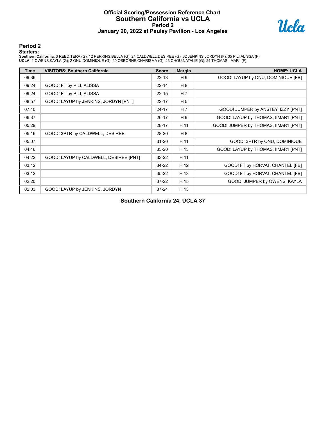### **Official Scoring/Possession Reference Chart Southern California vs UCLA Period 2 January 20, 2022 at Pauley Pavilion - Los Angeles**



#### **Period 2**

#### **Starters:**

**Southern California**: 3 REED,TERA (G); 12 PERKINS,BELLA (G); 24 CALDWELL,DESIREE (G); 32 JENKINS,JORDYN (F); 35 PILI,ALISSA (F);<br>**UCLA**: 1 OWENS,KAYLA (G); 2 ONU,DOMINIQUE (G); 20 OSBORNE,CHARISMA (G); 23 CHOU,NATALIE (G)

| Time  | <b>VISITORS: Southern California</b>   | <b>Score</b> | <b>Margin</b>  | <b>HOME: UCLA</b>                     |
|-------|----------------------------------------|--------------|----------------|---------------------------------------|
| 09:36 |                                        | $22 - 13$    | H 9            | GOOD! LAYUP by ONU, DOMINIQUE [FB]    |
| 09:24 | GOOD! FT by PILI, ALISSA               | $22 - 14$    | H 8            |                                       |
| 09:24 | GOOD! FT by PILI, ALISSA               | $22 - 15$    | H 7            |                                       |
| 08:57 | GOOD! LAYUP by JENKINS, JORDYN [PNT]   | $22 - 17$    | H <sub>5</sub> |                                       |
| 07:10 |                                        | $24 - 17$    | H <sub>7</sub> | GOOD! JUMPER by ANSTEY, IZZY [PNT]    |
| 06:37 |                                        | $26-17$      | H 9            | GOOD! LAYUP by THOMAS, IIMAR'I [PNT]  |
| 05:29 |                                        | $28-17$      | H 11           | GOOD! JUMPER by THOMAS, IIMAR'I [PNT] |
| 05:16 | GOOD! 3PTR by CALDWELL, DESIREE        | 28-20        | H 8            |                                       |
| 05:07 |                                        | $31 - 20$    | H 11           | GOOD! 3PTR by ONU, DOMINIQUE          |
| 04:46 |                                        | $33 - 20$    | H 13           | GOOD! LAYUP by THOMAS, IIMAR'I [PNT]  |
| 04:22 | GOOD! LAYUP by CALDWELL, DESIREE [PNT] | $33 - 22$    | H 11           |                                       |
| 03:12 |                                        | $34 - 22$    | H 12           | GOOD! FT by HORVAT, CHANTEL [FB]      |
| 03:12 |                                        | $35 - 22$    | H 13           | GOOD! FT by HORVAT, CHANTEL [FB]      |
| 02:20 |                                        | $37-22$      | H 15           | GOOD! JUMPER by OWENS, KAYLA          |
| 02:03 | GOOD! LAYUP by JENKINS, JORDYN         | $37 - 24$    | H 13           |                                       |

**Southern California 24, UCLA 37**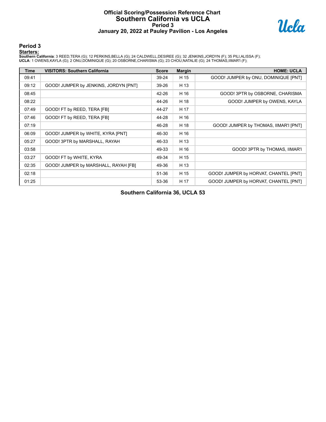### **Official Scoring/Possession Reference Chart Southern California vs UCLA Period 3 January 20, 2022 at Pauley Pavilion - Los Angeles**



**Period 3**

<mark>Starters :</mark><br>Southern California: 3 REED,TERA (G); 12 PERKINS,BELLA (G); 24 CALDWELL,DESIREE (G); 32 JENKINS,JORDYN (F); 35 PILI,ALISSA (F);<br>UCLA: 1 OWENS,KAYLA (G); 2 ONU,DOMINIQUE (G); 20 OSBORNE,CHARISMA (G); 23 CHOU,NA

| Time  | <b>VISITORS: Southern California</b>  | <b>Score</b> | <b>Margin</b> | <b>HOME: UCLA</b>                     |
|-------|---------------------------------------|--------------|---------------|---------------------------------------|
| 09:41 |                                       | 39-24        | H 15          | GOOD! JUMPER by ONU, DOMINIQUE [PNT]  |
| 09:12 | GOOD! JUMPER by JENKINS, JORDYN [PNT] | 39-26        | H 13          |                                       |
| 08:45 |                                       | 42-26        | H 16          | GOOD! 3PTR by OSBORNE, CHARISMA       |
| 08:22 |                                       | 44-26        | H 18          | GOOD! JUMPER by OWENS, KAYLA          |
| 07:49 | GOOD! FT by REED, TERA [FB]           | 44-27        | H 17          |                                       |
| 07:46 | GOOD! FT by REED, TERA [FB]           | 44-28        | H 16          |                                       |
| 07:19 |                                       | 46-28        | H 18          | GOOD! JUMPER by THOMAS, IIMAR'I [PNT] |
| 06:09 | GOOD! JUMPER by WHITE, KYRA [PNT]     | 46-30        | H 16          |                                       |
| 05:27 | GOOD! 3PTR by MARSHALL, RAYAH         | 46-33        | H 13          |                                       |
| 03:58 |                                       | 49-33        | H 16          | GOOD! 3PTR by THOMAS, IIMAR'I         |
| 03:27 | GOOD! FT by WHITE, KYRA               | 49-34        | H 15          |                                       |
| 02:35 | GOOD! JUMPER by MARSHALL, RAYAH [FB]  | 49-36        | H 13          |                                       |
| 02:18 |                                       | 51-36        | H 15          | GOOD! JUMPER by HORVAT, CHANTEL [PNT] |
| 01:25 |                                       | 53-36        | H 17          | GOOD! JUMPER by HORVAT, CHANTEL [PNT] |

**Southern California 36, UCLA 53**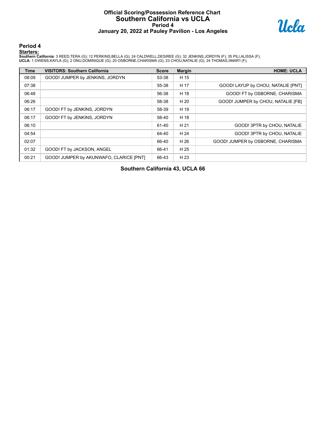### **Official Scoring/Possession Reference Chart Southern California vs UCLA Period 4 January 20, 2022 at Pauley Pavilion - Los Angeles**



**Period 4**

<mark>Starters :</mark><br>Southern California: 3 REED,TERA (G); 12 PERKINS,BELLA (G); 24 CALDWELL,DESIREE (G); 32 JENKINS,JORDYN (F); 35 PILI,ALISSA (F);<br>UCLA: 1 OWENS,KAYLA (G); 2 ONU,DOMINIQUE (G); 20 OSBORNE,CHARISMA (G); 23 CHOU,NA

| <b>Time</b> | <b>VISITORS: Southern California</b>    | <b>Score</b> | <b>Margin</b> | <b>HOME: UCLA</b>                  |
|-------------|-----------------------------------------|--------------|---------------|------------------------------------|
| 08:09       | GOOD! JUMPER by JENKINS, JORDYN         | 53-38        | H 15          |                                    |
| 07:38       |                                         | 55-38        | H 17          | GOOD! LAYUP by CHOU, NATALIE [PNT] |
| 06:48       |                                         | 56-38        | H 18          | GOOD! FT by OSBORNE, CHARISMA      |
| 06:26       |                                         | 58-38        | H 20          | GOOD! JUMPER by CHOU, NATALIE [FB] |
| 06:17       | GOOD! FT by JENKINS, JORDYN             | 58-39        | H 19          |                                    |
| 06:17       | GOOD! FT by JENKINS, JORDYN             | 58-40        | H 18          |                                    |
| 06:10       |                                         | 61-40        | H 21          | GOOD! 3PTR by CHOU, NATALIE        |
| 04:54       |                                         | 64-40        | H 24          | GOOD! 3PTR by CHOU, NATALIE        |
| 02:07       |                                         | 66-40        | H 26          | GOOD! JUMPER by OSBORNE, CHARISMA  |
| 01:32       | GOOD! FT by JACKSON, ANGEL              | 66-41        | H 25          |                                    |
| 00:21       | GOOD! JUMPER by AKUNWAFO, CLARICE [PNT] | 66-43        | H 23          |                                    |

**Southern California 43, UCLA 66**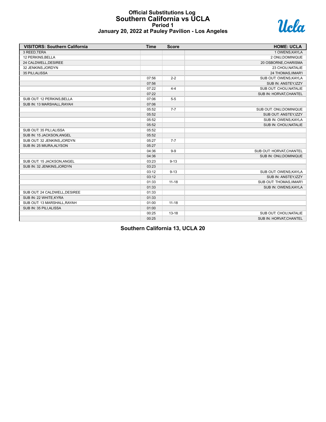#### **Official Substitutions Log Southern California vs UCLA Period 1 January 20, 2022 at Pauley Pavilion - Los Angeles**



| <b>VISITORS: Southern California</b> | <b>Time</b> | <b>Score</b> | <b>HOME: UCLA</b>        |
|--------------------------------------|-------------|--------------|--------------------------|
| 3 REED, TERA                         |             |              | 1 OWENS, KAYLA           |
| 12 PERKINS, BELLA                    |             |              | 2 ONU, DOMINIQUE         |
| 24 CALDWELL, DESIREE                 |             |              | 20 OSBORNE, CHARISMA     |
| 32 JENKINS, JORDYN                   |             |              | 23 CHOU, NATALIE         |
| 35 PILI, ALISSA                      |             |              | 24 THOMAS, IIMAR'I       |
|                                      | 07:56       | $2 - 2$      | SUB OUT: OWENS, KAYLA    |
|                                      | 07:56       |              | SUB IN: ANSTEY, IZZY     |
|                                      | 07:22       | $4 - 4$      | SUB OUT: CHOU, NATALIE   |
|                                      | 07:22       |              | SUB IN: HORVAT, CHANTEL  |
| SUB OUT: 12 PERKINS, BELLA           | 07:06       | $5-5$        |                          |
| SUB IN: 13 MARSHALL, RAYAH           | 07:06       |              |                          |
|                                      | 05:52       | $7 - 7$      | SUB OUT: ONU, DOMINIQUE  |
|                                      | 05:52       |              | SUB OUT: ANSTEY, IZZY    |
|                                      | 05:52       |              | SUB IN: OWENS, KAYLA     |
|                                      | 05:52       |              | SUB IN: CHOU, NATALIE    |
| SUB OUT: 35 PILI, ALISSA             | 05:52       |              |                          |
| SUB IN: 15 JACKSON, ANGEL            | 05:52       |              |                          |
| SUB OUT: 32 JENKINS, JORDYN          | 05:27       | $7 - 7$      |                          |
| SUB IN: 25 MIURA, ALYSON             | 05:27       |              |                          |
|                                      | 04:36       | $9-9$        | SUB OUT: HORVAT, CHANTEL |
|                                      | 04:36       |              | SUB IN: ONU, DOMINIQUE   |
| SUB OUT: 15 JACKSON, ANGEL           | 03:23       | $9 - 13$     |                          |
| SUB IN: 32 JENKINS, JORDYN           | 03:23       |              |                          |
|                                      | 03:12       | $9 - 13$     | SUB OUT: OWENS, KAYLA    |
|                                      | 03:12       |              | SUB IN: ANSTEY, IZZY     |
|                                      | 01:33       | $11 - 18$    | SUB OUT: THOMAS, IIMAR'I |
|                                      | 01:33       |              | SUB IN: OWENS, KAYLA     |
| SUB OUT: 24 CALDWELL, DESIREE        | 01:33       |              |                          |
| SUB IN: 22 WHITE, KYRA               | 01:33       |              |                          |
| SUB OUT: 13 MARSHALL, RAYAH          | 01:00       | $11 - 18$    |                          |
| SUB IN: 35 PILI, ALISSA              | 01:00       |              |                          |
|                                      | 00:25       | $13 - 18$    | SUB OUT: CHOU, NATALIE   |
|                                      | 00:25       |              | SUB IN: HORVAT, CHANTEL  |

**Southern California 13, UCLA 20**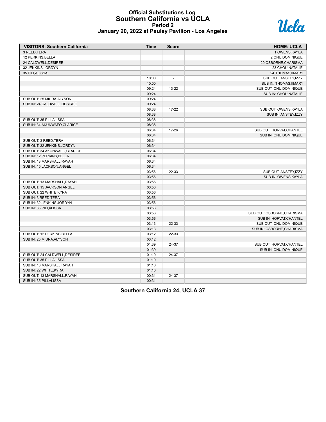#### **Official Substitutions Log Southern California vs UCLA Period 2 January 20, 2022 at Pauley Pavilion - Los Angeles**



| 3 REED.TERA<br>1 OWENS, KAYLA<br>12 PERKINS, BELLA<br>2 ONU, DOMINIQUE<br>24 CALDWELL, DESIREE<br>20 OSBORNE, CHARISMA<br>32 JENKINS, JORDYN<br>23 CHOU, NATALIE<br>35 PILI.ALISSA<br>24 THOMAS, IIMAR'I<br>10:00<br>SUB OUT: ANSTEY, IZZY<br>$\overline{\phantom{a}}$<br>10:00<br>SUB IN: THOMAS, IIMAR'I<br>09:24<br>13-22<br>SUB OUT: ONU, DOMINIQUE<br>09:24<br>SUB IN: CHOU, NATALIE<br>SUB OUT: 25 MIURA, ALYSON<br>09:24<br>SUB IN: 24 CALDWELL, DESIREE<br>09:24<br>08:38<br>$17 - 22$<br>SUB OUT: OWENS, KAYLA<br>08:38<br>SUB IN: ANSTEY, IZZY<br>SUB OUT: 35 PILI, ALISSA<br>08:38<br>SUB IN: 34 AKUNWAFO, CLARICE<br>08:38<br>17-26<br>06:34<br>SUB OUT: HORVAT, CHANTEL<br>06:34<br>SUB IN: ONU, DOMINIQUE<br>SUB OUT: 3 REED.TERA<br>06:34<br>06:34<br>SUB OUT: 32 JENKINS, JORDYN<br>SUB OUT: 34 AKUNWAFO, CLARICE<br>06:34<br>SUB IN: 12 PERKINS, BELLA<br>06:34<br>SUB IN: 13 MARSHALL, RAYAH<br>06:34<br>SUB IN: 15 JACKSON, ANGEL<br>06:34<br>22-33<br>03:56<br>SUB OUT: ANSTEY, IZZY<br>03:56<br>SUB IN: OWENS, KAYLA<br>SUB OUT: 13 MARSHALL, RAYAH<br>03:56<br>03:56<br>SUB OUT: 15 JACKSON, ANGEL<br>SUB OUT: 22 WHITE, KYRA<br>03:56<br>SUB IN: 3 REED, TERA<br>03:56<br>SUB IN: 32 JENKINS, JORDYN<br>03:56<br>SUB IN: 35 PILI.ALISSA<br>03:56<br>03:56<br>SUB OUT: OSBORNE, CHARISMA<br>03:56<br>SUB IN: HORVAT, CHANTEL<br>03:13<br>22-33<br>SUB OUT: ONU, DOMINIQUE<br>03:13<br>SUB IN: OSBORNE, CHARISMA<br>SUB OUT: 12 PERKINS, BELLA<br>03:12<br>22-33<br>SUB IN: 25 MIURA, ALYSON<br>03:12<br>01:39<br>24-37<br>SUB OUT: HORVAT, CHANTEL<br>01:39<br>SUB IN: ONU, DOMINIQUE<br>SUB OUT: 24 CALDWELL, DESIREE<br>24-37<br>01:10<br>SUB OUT: 35 PILI, ALISSA<br>01:10<br>SUB IN: 13 MARSHALL, RAYAH<br>01:10<br>SUB IN: 22 WHITE, KYRA<br>01:10<br>SUB OUT: 13 MARSHALL.RAYAH<br>00:31<br>24-37 | <b>VISITORS: Southern California</b> | <b>Time</b> | <b>Score</b> | <b>HOME: UCLA</b> |
|-------------------------------------------------------------------------------------------------------------------------------------------------------------------------------------------------------------------------------------------------------------------------------------------------------------------------------------------------------------------------------------------------------------------------------------------------------------------------------------------------------------------------------------------------------------------------------------------------------------------------------------------------------------------------------------------------------------------------------------------------------------------------------------------------------------------------------------------------------------------------------------------------------------------------------------------------------------------------------------------------------------------------------------------------------------------------------------------------------------------------------------------------------------------------------------------------------------------------------------------------------------------------------------------------------------------------------------------------------------------------------------------------------------------------------------------------------------------------------------------------------------------------------------------------------------------------------------------------------------------------------------------------------------------------------------------------------------------------------------------------------------------------------------------------------------------------------|--------------------------------------|-------------|--------------|-------------------|
|                                                                                                                                                                                                                                                                                                                                                                                                                                                                                                                                                                                                                                                                                                                                                                                                                                                                                                                                                                                                                                                                                                                                                                                                                                                                                                                                                                                                                                                                                                                                                                                                                                                                                                                                                                                                                               |                                      |             |              |                   |
|                                                                                                                                                                                                                                                                                                                                                                                                                                                                                                                                                                                                                                                                                                                                                                                                                                                                                                                                                                                                                                                                                                                                                                                                                                                                                                                                                                                                                                                                                                                                                                                                                                                                                                                                                                                                                               |                                      |             |              |                   |
|                                                                                                                                                                                                                                                                                                                                                                                                                                                                                                                                                                                                                                                                                                                                                                                                                                                                                                                                                                                                                                                                                                                                                                                                                                                                                                                                                                                                                                                                                                                                                                                                                                                                                                                                                                                                                               |                                      |             |              |                   |
|                                                                                                                                                                                                                                                                                                                                                                                                                                                                                                                                                                                                                                                                                                                                                                                                                                                                                                                                                                                                                                                                                                                                                                                                                                                                                                                                                                                                                                                                                                                                                                                                                                                                                                                                                                                                                               |                                      |             |              |                   |
|                                                                                                                                                                                                                                                                                                                                                                                                                                                                                                                                                                                                                                                                                                                                                                                                                                                                                                                                                                                                                                                                                                                                                                                                                                                                                                                                                                                                                                                                                                                                                                                                                                                                                                                                                                                                                               |                                      |             |              |                   |
|                                                                                                                                                                                                                                                                                                                                                                                                                                                                                                                                                                                                                                                                                                                                                                                                                                                                                                                                                                                                                                                                                                                                                                                                                                                                                                                                                                                                                                                                                                                                                                                                                                                                                                                                                                                                                               |                                      |             |              |                   |
|                                                                                                                                                                                                                                                                                                                                                                                                                                                                                                                                                                                                                                                                                                                                                                                                                                                                                                                                                                                                                                                                                                                                                                                                                                                                                                                                                                                                                                                                                                                                                                                                                                                                                                                                                                                                                               |                                      |             |              |                   |
|                                                                                                                                                                                                                                                                                                                                                                                                                                                                                                                                                                                                                                                                                                                                                                                                                                                                                                                                                                                                                                                                                                                                                                                                                                                                                                                                                                                                                                                                                                                                                                                                                                                                                                                                                                                                                               |                                      |             |              |                   |
|                                                                                                                                                                                                                                                                                                                                                                                                                                                                                                                                                                                                                                                                                                                                                                                                                                                                                                                                                                                                                                                                                                                                                                                                                                                                                                                                                                                                                                                                                                                                                                                                                                                                                                                                                                                                                               |                                      |             |              |                   |
|                                                                                                                                                                                                                                                                                                                                                                                                                                                                                                                                                                                                                                                                                                                                                                                                                                                                                                                                                                                                                                                                                                                                                                                                                                                                                                                                                                                                                                                                                                                                                                                                                                                                                                                                                                                                                               |                                      |             |              |                   |
|                                                                                                                                                                                                                                                                                                                                                                                                                                                                                                                                                                                                                                                                                                                                                                                                                                                                                                                                                                                                                                                                                                                                                                                                                                                                                                                                                                                                                                                                                                                                                                                                                                                                                                                                                                                                                               |                                      |             |              |                   |
|                                                                                                                                                                                                                                                                                                                                                                                                                                                                                                                                                                                                                                                                                                                                                                                                                                                                                                                                                                                                                                                                                                                                                                                                                                                                                                                                                                                                                                                                                                                                                                                                                                                                                                                                                                                                                               |                                      |             |              |                   |
|                                                                                                                                                                                                                                                                                                                                                                                                                                                                                                                                                                                                                                                                                                                                                                                                                                                                                                                                                                                                                                                                                                                                                                                                                                                                                                                                                                                                                                                                                                                                                                                                                                                                                                                                                                                                                               |                                      |             |              |                   |
|                                                                                                                                                                                                                                                                                                                                                                                                                                                                                                                                                                                                                                                                                                                                                                                                                                                                                                                                                                                                                                                                                                                                                                                                                                                                                                                                                                                                                                                                                                                                                                                                                                                                                                                                                                                                                               |                                      |             |              |                   |
|                                                                                                                                                                                                                                                                                                                                                                                                                                                                                                                                                                                                                                                                                                                                                                                                                                                                                                                                                                                                                                                                                                                                                                                                                                                                                                                                                                                                                                                                                                                                                                                                                                                                                                                                                                                                                               |                                      |             |              |                   |
|                                                                                                                                                                                                                                                                                                                                                                                                                                                                                                                                                                                                                                                                                                                                                                                                                                                                                                                                                                                                                                                                                                                                                                                                                                                                                                                                                                                                                                                                                                                                                                                                                                                                                                                                                                                                                               |                                      |             |              |                   |
|                                                                                                                                                                                                                                                                                                                                                                                                                                                                                                                                                                                                                                                                                                                                                                                                                                                                                                                                                                                                                                                                                                                                                                                                                                                                                                                                                                                                                                                                                                                                                                                                                                                                                                                                                                                                                               |                                      |             |              |                   |
|                                                                                                                                                                                                                                                                                                                                                                                                                                                                                                                                                                                                                                                                                                                                                                                                                                                                                                                                                                                                                                                                                                                                                                                                                                                                                                                                                                                                                                                                                                                                                                                                                                                                                                                                                                                                                               |                                      |             |              |                   |
|                                                                                                                                                                                                                                                                                                                                                                                                                                                                                                                                                                                                                                                                                                                                                                                                                                                                                                                                                                                                                                                                                                                                                                                                                                                                                                                                                                                                                                                                                                                                                                                                                                                                                                                                                                                                                               |                                      |             |              |                   |
|                                                                                                                                                                                                                                                                                                                                                                                                                                                                                                                                                                                                                                                                                                                                                                                                                                                                                                                                                                                                                                                                                                                                                                                                                                                                                                                                                                                                                                                                                                                                                                                                                                                                                                                                                                                                                               |                                      |             |              |                   |
|                                                                                                                                                                                                                                                                                                                                                                                                                                                                                                                                                                                                                                                                                                                                                                                                                                                                                                                                                                                                                                                                                                                                                                                                                                                                                                                                                                                                                                                                                                                                                                                                                                                                                                                                                                                                                               |                                      |             |              |                   |
|                                                                                                                                                                                                                                                                                                                                                                                                                                                                                                                                                                                                                                                                                                                                                                                                                                                                                                                                                                                                                                                                                                                                                                                                                                                                                                                                                                                                                                                                                                                                                                                                                                                                                                                                                                                                                               |                                      |             |              |                   |
|                                                                                                                                                                                                                                                                                                                                                                                                                                                                                                                                                                                                                                                                                                                                                                                                                                                                                                                                                                                                                                                                                                                                                                                                                                                                                                                                                                                                                                                                                                                                                                                                                                                                                                                                                                                                                               |                                      |             |              |                   |
|                                                                                                                                                                                                                                                                                                                                                                                                                                                                                                                                                                                                                                                                                                                                                                                                                                                                                                                                                                                                                                                                                                                                                                                                                                                                                                                                                                                                                                                                                                                                                                                                                                                                                                                                                                                                                               |                                      |             |              |                   |
|                                                                                                                                                                                                                                                                                                                                                                                                                                                                                                                                                                                                                                                                                                                                                                                                                                                                                                                                                                                                                                                                                                                                                                                                                                                                                                                                                                                                                                                                                                                                                                                                                                                                                                                                                                                                                               |                                      |             |              |                   |
|                                                                                                                                                                                                                                                                                                                                                                                                                                                                                                                                                                                                                                                                                                                                                                                                                                                                                                                                                                                                                                                                                                                                                                                                                                                                                                                                                                                                                                                                                                                                                                                                                                                                                                                                                                                                                               |                                      |             |              |                   |
|                                                                                                                                                                                                                                                                                                                                                                                                                                                                                                                                                                                                                                                                                                                                                                                                                                                                                                                                                                                                                                                                                                                                                                                                                                                                                                                                                                                                                                                                                                                                                                                                                                                                                                                                                                                                                               |                                      |             |              |                   |
|                                                                                                                                                                                                                                                                                                                                                                                                                                                                                                                                                                                                                                                                                                                                                                                                                                                                                                                                                                                                                                                                                                                                                                                                                                                                                                                                                                                                                                                                                                                                                                                                                                                                                                                                                                                                                               |                                      |             |              |                   |
|                                                                                                                                                                                                                                                                                                                                                                                                                                                                                                                                                                                                                                                                                                                                                                                                                                                                                                                                                                                                                                                                                                                                                                                                                                                                                                                                                                                                                                                                                                                                                                                                                                                                                                                                                                                                                               |                                      |             |              |                   |
|                                                                                                                                                                                                                                                                                                                                                                                                                                                                                                                                                                                                                                                                                                                                                                                                                                                                                                                                                                                                                                                                                                                                                                                                                                                                                                                                                                                                                                                                                                                                                                                                                                                                                                                                                                                                                               |                                      |             |              |                   |
|                                                                                                                                                                                                                                                                                                                                                                                                                                                                                                                                                                                                                                                                                                                                                                                                                                                                                                                                                                                                                                                                                                                                                                                                                                                                                                                                                                                                                                                                                                                                                                                                                                                                                                                                                                                                                               |                                      |             |              |                   |
|                                                                                                                                                                                                                                                                                                                                                                                                                                                                                                                                                                                                                                                                                                                                                                                                                                                                                                                                                                                                                                                                                                                                                                                                                                                                                                                                                                                                                                                                                                                                                                                                                                                                                                                                                                                                                               |                                      |             |              |                   |
|                                                                                                                                                                                                                                                                                                                                                                                                                                                                                                                                                                                                                                                                                                                                                                                                                                                                                                                                                                                                                                                                                                                                                                                                                                                                                                                                                                                                                                                                                                                                                                                                                                                                                                                                                                                                                               |                                      |             |              |                   |
|                                                                                                                                                                                                                                                                                                                                                                                                                                                                                                                                                                                                                                                                                                                                                                                                                                                                                                                                                                                                                                                                                                                                                                                                                                                                                                                                                                                                                                                                                                                                                                                                                                                                                                                                                                                                                               |                                      |             |              |                   |
|                                                                                                                                                                                                                                                                                                                                                                                                                                                                                                                                                                                                                                                                                                                                                                                                                                                                                                                                                                                                                                                                                                                                                                                                                                                                                                                                                                                                                                                                                                                                                                                                                                                                                                                                                                                                                               |                                      |             |              |                   |
|                                                                                                                                                                                                                                                                                                                                                                                                                                                                                                                                                                                                                                                                                                                                                                                                                                                                                                                                                                                                                                                                                                                                                                                                                                                                                                                                                                                                                                                                                                                                                                                                                                                                                                                                                                                                                               |                                      |             |              |                   |
|                                                                                                                                                                                                                                                                                                                                                                                                                                                                                                                                                                                                                                                                                                                                                                                                                                                                                                                                                                                                                                                                                                                                                                                                                                                                                                                                                                                                                                                                                                                                                                                                                                                                                                                                                                                                                               |                                      |             |              |                   |
|                                                                                                                                                                                                                                                                                                                                                                                                                                                                                                                                                                                                                                                                                                                                                                                                                                                                                                                                                                                                                                                                                                                                                                                                                                                                                                                                                                                                                                                                                                                                                                                                                                                                                                                                                                                                                               |                                      |             |              |                   |
|                                                                                                                                                                                                                                                                                                                                                                                                                                                                                                                                                                                                                                                                                                                                                                                                                                                                                                                                                                                                                                                                                                                                                                                                                                                                                                                                                                                                                                                                                                                                                                                                                                                                                                                                                                                                                               |                                      |             |              |                   |
|                                                                                                                                                                                                                                                                                                                                                                                                                                                                                                                                                                                                                                                                                                                                                                                                                                                                                                                                                                                                                                                                                                                                                                                                                                                                                                                                                                                                                                                                                                                                                                                                                                                                                                                                                                                                                               |                                      |             |              |                   |
|                                                                                                                                                                                                                                                                                                                                                                                                                                                                                                                                                                                                                                                                                                                                                                                                                                                                                                                                                                                                                                                                                                                                                                                                                                                                                                                                                                                                                                                                                                                                                                                                                                                                                                                                                                                                                               |                                      |             |              |                   |
|                                                                                                                                                                                                                                                                                                                                                                                                                                                                                                                                                                                                                                                                                                                                                                                                                                                                                                                                                                                                                                                                                                                                                                                                                                                                                                                                                                                                                                                                                                                                                                                                                                                                                                                                                                                                                               |                                      |             |              |                   |
|                                                                                                                                                                                                                                                                                                                                                                                                                                                                                                                                                                                                                                                                                                                                                                                                                                                                                                                                                                                                                                                                                                                                                                                                                                                                                                                                                                                                                                                                                                                                                                                                                                                                                                                                                                                                                               |                                      |             |              |                   |
|                                                                                                                                                                                                                                                                                                                                                                                                                                                                                                                                                                                                                                                                                                                                                                                                                                                                                                                                                                                                                                                                                                                                                                                                                                                                                                                                                                                                                                                                                                                                                                                                                                                                                                                                                                                                                               |                                      |             |              |                   |
|                                                                                                                                                                                                                                                                                                                                                                                                                                                                                                                                                                                                                                                                                                                                                                                                                                                                                                                                                                                                                                                                                                                                                                                                                                                                                                                                                                                                                                                                                                                                                                                                                                                                                                                                                                                                                               | SUB IN: 35 PILI, ALISSA              | 00:31       |              |                   |

**Southern California 24, UCLA 37**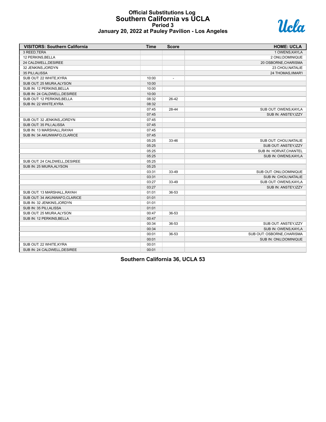#### **Official Substitutions Log Southern California vs UCLA Period 3 January 20, 2022 at Pauley Pavilion - Los Angeles**



|  | January 20, 2022 at Pauley Pavilion - Los Angeles |  |
|--|---------------------------------------------------|--|
|--|---------------------------------------------------|--|

| <b>VISITORS: Southern California</b> | <b>Time</b> | <b>Score</b>   | <b>HOME: UCLA</b>          |
|--------------------------------------|-------------|----------------|----------------------------|
| 3 REED.TERA                          |             |                | 1 OWENS.KAYLA              |
| 12 PERKINS, BELLA                    |             |                | 2 ONU.DOMINIQUE            |
| 24 CALDWELL, DESIREE                 |             |                | 20 OSBORNE, CHARISMA       |
| 32 JENKINS, JORDYN                   |             |                | 23 CHOU, NATALIE           |
| 35 PILI, ALISSA                      |             |                | 24 THOMAS, IIMAR'I         |
| SUB OUT: 22 WHITE, KYRA              | 10:00       | $\blacksquare$ |                            |
| SUB OUT: 25 MIURA, ALYSON            | 10:00       |                |                            |
| SUB IN: 12 PERKINS, BELLA            | 10:00       |                |                            |
| SUB IN: 24 CALDWELL.DESIREE          | 10:00       |                |                            |
| SUB OUT: 12 PERKINS, BELLA           | 08:32       | 26-42          |                            |
| SUB IN: 22 WHITE, KYRA               | 08:32       |                |                            |
|                                      | 07:45       | 28-44          | SUB OUT: OWENS, KAYLA      |
|                                      | 07:45       |                | SUB IN: ANSTEY, IZZY       |
| SUB OUT: 32 JENKINS, JORDYN          | 07:45       |                |                            |
| SUB OUT: 35 PILI.ALISSA              | 07:45       |                |                            |
| SUB IN: 13 MARSHALL, RAYAH           | 07:45       |                |                            |
| SUB IN: 34 AKUNWAFO, CLARICE         | 07:45       |                |                            |
|                                      | 05:25       | 33-46          | SUB OUT: CHOU, NATALIE     |
|                                      | 05:25       |                | SUB OUT: ANSTEY, IZZY      |
|                                      | 05:25       |                | SUB IN: HORVAT, CHANTEL    |
|                                      | 05:25       |                | SUB IN: OWENS, KAYLA       |
| SUB OUT: 24 CALDWELL.DESIREE         | 05:25       |                |                            |
| SUB IN: 25 MIURA, ALYSON             | 05:25       |                |                            |
|                                      | 03:31       | 33-49          | SUB OUT: ONU, DOMINIQUE    |
|                                      | 03:31       |                | SUB IN: CHOU, NATALIE      |
|                                      | 03:27       | 33-49          | SUB OUT: OWENS, KAYLA      |
|                                      | 03:27       |                | SUB IN: ANSTEY, IZZY       |
| SUB OUT: 13 MARSHALL, RAYAH          | 01:01       | 36-53          |                            |
| SUB OUT: 34 AKUNWAFO.CLARICE         | 01:01       |                |                            |
| SUB IN: 32 JENKINS, JORDYN           | 01:01       |                |                            |
| SUB IN: 35 PILI, ALISSA              | 01:01       |                |                            |
| SUB OUT: 25 MIURA, ALYSON            | 00:47       | 36-53          |                            |
| SUB IN: 12 PERKINS, BELLA            | 00:47       |                |                            |
|                                      | 00:34       | 36-53          | SUB OUT: ANSTEY, IZZY      |
|                                      | 00:34       |                | SUB IN: OWENS, KAYLA       |
|                                      | 00:01       | 36-53          | SUB OUT: OSBORNE, CHARISMA |
|                                      | 00:01       |                | SUB IN: ONU, DOMINIQUE     |
| SUB OUT: 22 WHITE, KYRA              | 00:01       |                |                            |
| SUB IN: 24 CALDWELL, DESIREE         | 00:01       |                |                            |

**Southern California 36, UCLA 53**